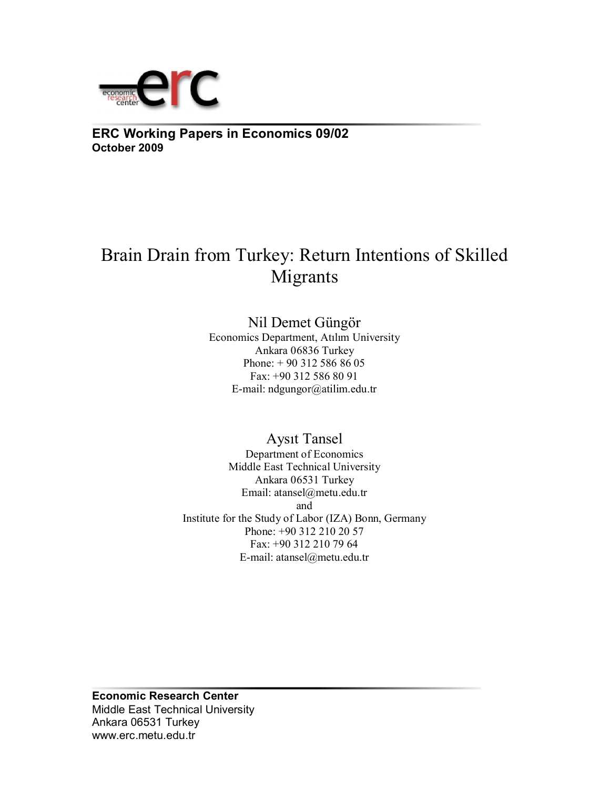

**ERC Working Papers in Economics 09/02 October 2009**

# Brain Drain from Turkey: Return Intentions of Skilled Migrants

Nil Demet Güngör

Economics Department, Atılım University Ankara 06836 Turkey Phone: + 90 312 586 86 05 Fax: +90 312 586 80 91 E-mail: ndgungor@atilim.edu.tr

Aysıt Tansel Department of Economics Middle East Technical University Ankara 06531 Turkey Email: atansel@metu.edu.tr and Institute for the Study of Labor (IZA) Bonn, Germany Phone: +90 312 210 20 57 Fax: +90 312 210 79 64 E-mail: atansel@metu.edu.tr

**Economic Research Center**  Middle East Technical University Ankara 06531 Turkey www.erc.metu.edu.tr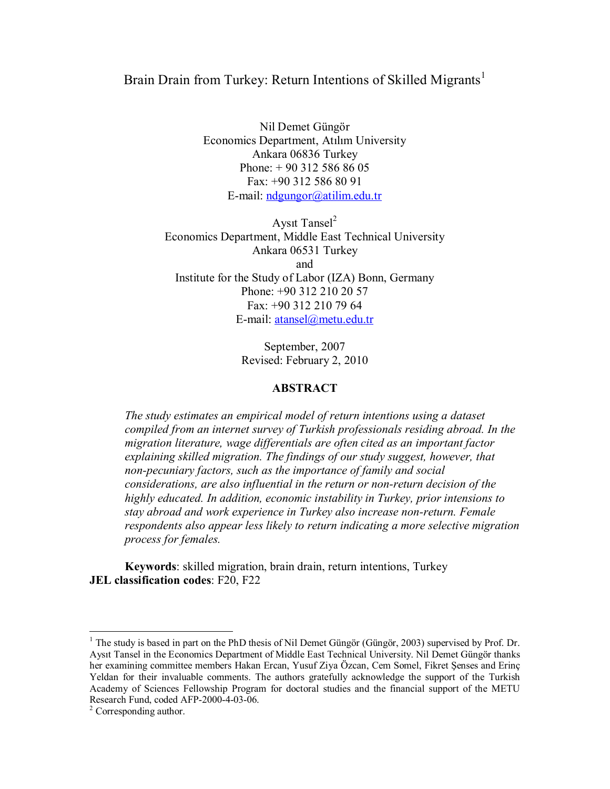## Brain Drain from Turkey: Return Intentions of Skilled Migrants<sup>1</sup>

Nil Demet Güngör Economics Department, Atılım University Ankara 06836 Turkey Phone: + 90 312 586 86 05 Fax: +90 312 586 80 91 E-mail: ndgungor@atilim.edu.tr

Aysıt Tansel $2$ Economics Department, Middle East Technical University Ankara 06531 Turkey and Institute for the Study of Labor (IZA) Bonn, Germany Phone: +90 312 210 20 57 Fax: +90 312 210 79 64 E-mail: atansel@metu.edu.tr

> September, 2007 Revised: February 2, 2010

#### **ABSTRACT**

*The study estimates an empirical model of return intentions using a dataset compiled from an internet survey of Turkish professionals residing abroad. In the migration literature, wage differentials are often cited as an important factor explaining skilled migration. The findings of our study suggest, however, that non-pecuniary factors, such as the importance of family and social considerations, are also influential in the return or non-return decision of the highly educated. In addition, economic instability in Turkey, prior intensions to stay abroad and work experience in Turkey also increase non-return. Female respondents also appear less likely to return indicating a more selective migration process for females.* 

**Keywords**: skilled migration, brain drain, return intentions, Turkey **JEL classification codes: F20, F22** 

 $\overline{a}$ 

<sup>&</sup>lt;sup>1</sup> The study is based in part on the PhD thesis of Nil Demet Güngör (Güngör, 2003) supervised by Prof. Dr. Aysıt Tansel in the Economics Department of Middle East Technical University. Nil Demet Güngör thanks her examining committee members Hakan Ercan, Yusuf Ziya Özcan, Cem Somel, Fikret Şenses and Erinç Yeldan for their invaluable comments. The authors gratefully acknowledge the support of the Turkish Academy of Sciences Fellowship Program for doctoral studies and the financial support of the METU Research Fund, coded AFP-2000-4-03-06.

<sup>&</sup>lt;sup>2</sup> Corresponding author.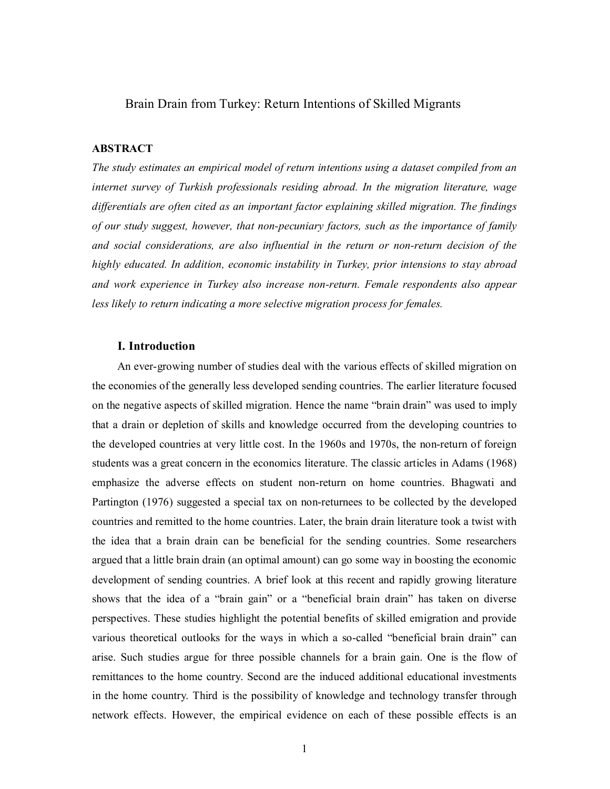#### Brain Drain from Turkey: Return Intentions of Skilled Migrants

#### **ABSTRACT**

*The study estimates an empirical model of return intentions using a dataset compiled from an internet survey of Turkish professionals residing abroad. In the migration literature, wage differentials are often cited as an important factor explaining skilled migration. The findings of our study suggest, however, that non-pecuniary factors, such as the importance of family and social considerations, are also influential in the return or non-return decision of the highly educated. In addition, economic instability in Turkey, prior intensions to stay abroad and work experience in Turkey also increase non-return. Female respondents also appear less likely to return indicating a more selective migration process for females.* 

#### **I. Introduction**

An ever-growing number of studies deal with the various effects of skilled migration on the economies of the generally less developed sending countries. The earlier literature focused on the negative aspects of skilled migration. Hence the name "brain drain" was used to imply that a drain or depletion of skills and knowledge occurred from the developing countries to the developed countries at very little cost. In the 1960s and 1970s, the non-return of foreign students was a great concern in the economics literature. The classic articles in Adams (1968) emphasize the adverse effects on student non-return on home countries. Bhagwati and Partington (1976) suggested a special tax on non-returnees to be collected by the developed countries and remitted to the home countries. Later, the brain drain literature took a twist with the idea that a brain drain can be beneficial for the sending countries. Some researchers argued that a little brain drain (an optimal amount) can go some way in boosting the economic development of sending countries. A brief look at this recent and rapidly growing literature shows that the idea of a "brain gain" or a "beneficial brain drain" has taken on diverse perspectives. These studies highlight the potential benefits of skilled emigration and provide various theoretical outlooks for the ways in which a so-called "beneficial brain drain" can arise. Such studies argue for three possible channels for a brain gain. One is the flow of remittances to the home country. Second are the induced additional educational investments in the home country. Third is the possibility of knowledge and technology transfer through network effects. However, the empirical evidence on each of these possible effects is an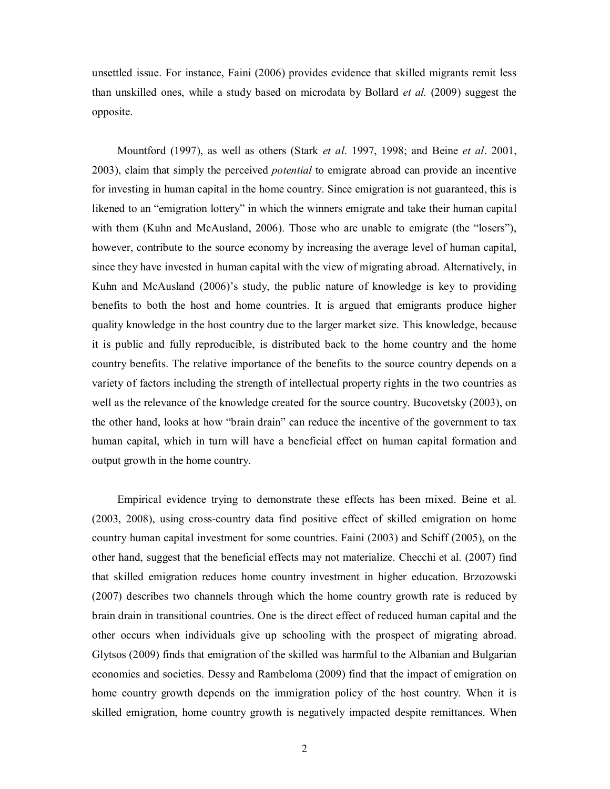unsettled issue. For instance, Faini (2006) provides evidence that skilled migrants remit less than unskilled ones, while a study based on microdata by Bollard *et al.* (2009) suggest the opposite.

Mountford (1997), as well as others (Stark *et al*. 1997, 1998; and Beine *et al*. 2001, 2003), claim that simply the perceived *potential* to emigrate abroad can provide an incentive for investing in human capital in the home country. Since emigration is not guaranteed, this is likened to an "emigration lottery" in which the winners emigrate and take their human capital with them (Kuhn and McAusland, 2006). Those who are unable to emigrate (the "losers"), however, contribute to the source economy by increasing the average level of human capital, since they have invested in human capital with the view of migrating abroad. Alternatively, in Kuhn and McAusland (2006)'s study, the public nature of knowledge is key to providing benefits to both the host and home countries. It is argued that emigrants produce higher quality knowledge in the host country due to the larger market size. This knowledge, because it is public and fully reproducible, is distributed back to the home country and the home country benefits. The relative importance of the benefits to the source country depends on a variety of factors including the strength of intellectual property rights in the two countries as well as the relevance of the knowledge created for the source country. Bucovetsky (2003), on the other hand, looks at how "brain drain" can reduce the incentive of the government to tax human capital, which in turn will have a beneficial effect on human capital formation and output growth in the home country.

Empirical evidence trying to demonstrate these effects has been mixed. Beine et al. (2003, 2008), using cross-country data find positive effect of skilled emigration on home country human capital investment for some countries. Faini (2003) and Schiff (2005), on the other hand, suggest that the beneficial effects may not materialize. Checchi et al. (2007) find that skilled emigration reduces home country investment in higher education. Brzozowski (2007) describes two channels through which the home country growth rate is reduced by brain drain in transitional countries. One is the direct effect of reduced human capital and the other occurs when individuals give up schooling with the prospect of migrating abroad. Glytsos (2009) finds that emigration of the skilled was harmful to the Albanian and Bulgarian economies and societies. Dessy and Rambeloma (2009) find that the impact of emigration on home country growth depends on the immigration policy of the host country. When it is skilled emigration, home country growth is negatively impacted despite remittances. When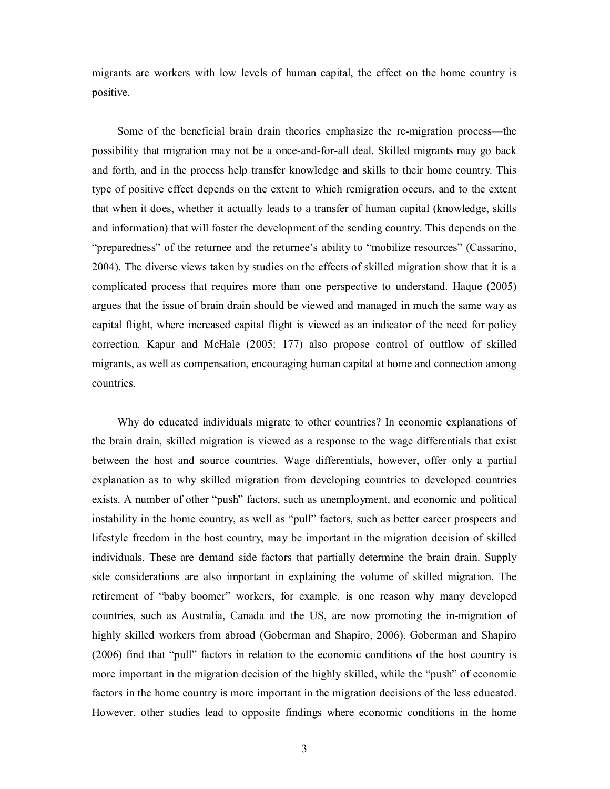migrants are workers with low levels of human capital, the effect on the home country is positive.

Some of the beneficial brain drain theories emphasize the re-migration process—the possibility that migration may not be a once-and-for-all deal. Skilled migrants may go back and forth, and in the process help transfer knowledge and skills to their home country. This type of positive effect depends on the extent to which remigration occurs, and to the extent that when it does, whether it actually leads to a transfer of human capital (knowledge, skills and information) that will foster the development of the sending country. This depends on the "preparedness" of the returnee and the returnee's ability to "mobilize resources" (Cassarino, 2004). The diverse views taken by studies on the effects of skilled migration show that it is a complicated process that requires more than one perspective to understand. Haque (2005) argues that the issue of brain drain should be viewed and managed in much the same way as capital flight, where increased capital flight is viewed as an indicator of the need for policy correction. Kapur and McHale (2005: 177) also propose control of outflow of skilled migrants, as well as compensation, encouraging human capital at home and connection among countries.

Why do educated individuals migrate to other countries? In economic explanations of the brain drain, skilled migration is viewed as a response to the wage differentials that exist between the host and source countries. Wage differentials, however, offer only a partial explanation as to why skilled migration from developing countries to developed countries exists. A number of other "push" factors, such as unemployment, and economic and political instability in the home country, as well as "pull" factors, such as better career prospects and lifestyle freedom in the host country, may be important in the migration decision of skilled individuals. These are demand side factors that partially determine the brain drain. Supply side considerations are also important in explaining the volume of skilled migration. The retirement of "baby boomer" workers, for example, is one reason why many developed countries, such as Australia, Canada and the US, are now promoting the in-migration of highly skilled workers from abroad (Goberman and Shapiro, 2006). Goberman and Shapiro (2006) find that "pull" factors in relation to the economic conditions of the host country is more important in the migration decision of the highly skilled, while the "push" of economic factors in the home country is more important in the migration decisions of the less educated. However, other studies lead to opposite findings where economic conditions in the home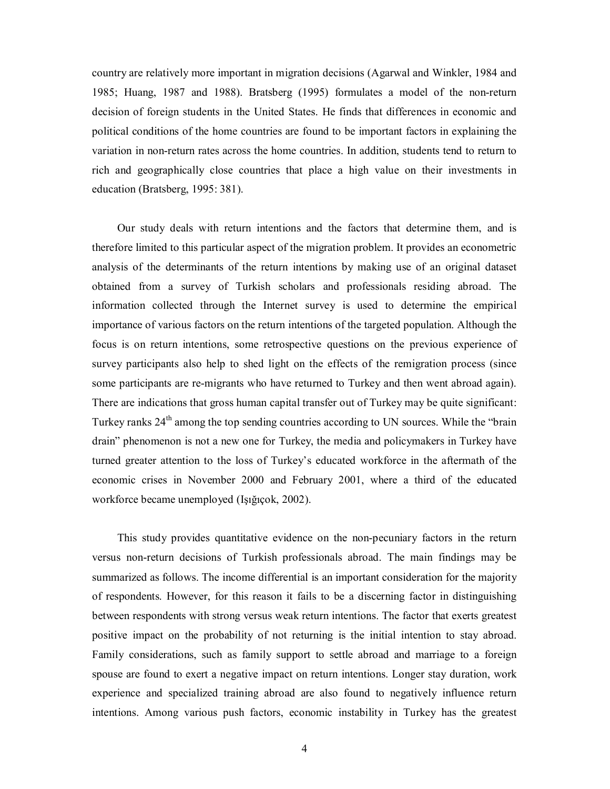country are relatively more important in migration decisions (Agarwal and Winkler, 1984 and 1985; Huang, 1987 and 1988). Bratsberg (1995) formulates a model of the non-return decision of foreign students in the United States. He finds that differences in economic and political conditions of the home countries are found to be important factors in explaining the variation in non-return rates across the home countries. In addition, students tend to return to rich and geographically close countries that place a high value on their investments in education (Bratsberg, 1995: 381).

Our study deals with return intentions and the factors that determine them, and is therefore limited to this particular aspect of the migration problem. It provides an econometric analysis of the determinants of the return intentions by making use of an original dataset obtained from a survey of Turkish scholars and professionals residing abroad. The information collected through the Internet survey is used to determine the empirical importance of various factors on the return intentions of the targeted population. Although the focus is on return intentions, some retrospective questions on the previous experience of survey participants also help to shed light on the effects of the remigration process (since some participants are re-migrants who have returned to Turkey and then went abroad again). There are indications that gross human capital transfer out of Turkey may be quite significant: Turkey ranks  $24<sup>th</sup>$  among the top sending countries according to UN sources. While the "brain" drain" phenomenon is not a new one for Turkey, the media and policymakers in Turkey have turned greater attention to the loss of Turkey's educated workforce in the aftermath of the economic crises in November 2000 and February 2001, where a third of the educated workforce became unemployed (Işığıçok, 2002).

This study provides quantitative evidence on the non-pecuniary factors in the return versus non-return decisions of Turkish professionals abroad. The main findings may be summarized as follows. The income differential is an important consideration for the majority of respondents. However, for this reason it fails to be a discerning factor in distinguishing between respondents with strong versus weak return intentions. The factor that exerts greatest positive impact on the probability of not returning is the initial intention to stay abroad. Family considerations, such as family support to settle abroad and marriage to a foreign spouse are found to exert a negative impact on return intentions. Longer stay duration, work experience and specialized training abroad are also found to negatively influence return intentions. Among various push factors, economic instability in Turkey has the greatest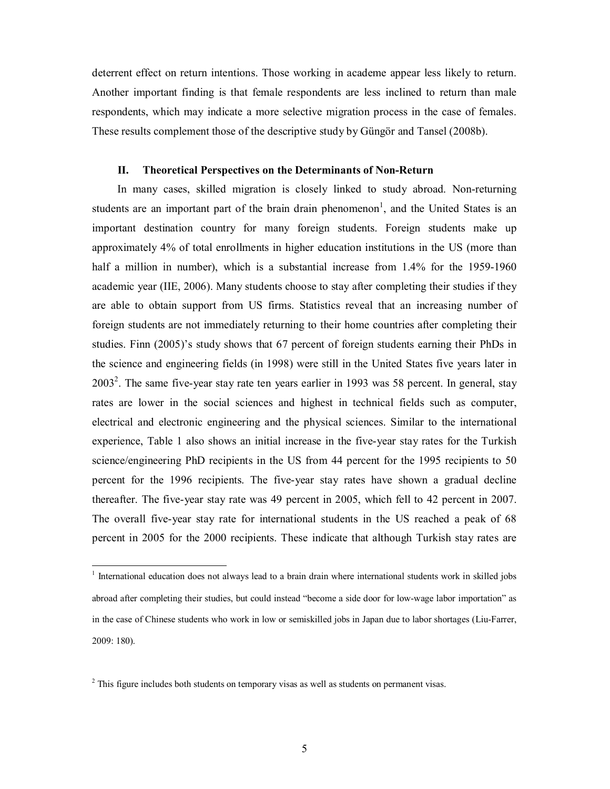deterrent effect on return intentions. Those working in academe appear less likely to return. Another important finding is that female respondents are less inclined to return than male respondents, which may indicate a more selective migration process in the case of females. These results complement those of the descriptive study by Güngör and Tansel (2008b).

### **II. Theoretical Perspectives on the Determinants of Non-Return**

In many cases, skilled migration is closely linked to study abroad. Non-returning students are an important part of the brain drain phenomenon<sup>1</sup>, and the United States is an important destination country for many foreign students. Foreign students make up approximately 4% of total enrollments in higher education institutions in the US (more than half a million in number), which is a substantial increase from 1.4% for the 1959-1960 academic year (IIE, 2006). Many students choose to stay after completing their studies if they are able to obtain support from US firms. Statistics reveal that an increasing number of foreign students are not immediately returning to their home countries after completing their studies. Finn (2005)'s study shows that 67 percent of foreign students earning their PhDs in the science and engineering fields (in 1998) were still in the United States five years later in  $2003<sup>2</sup>$ . The same five-year stay rate ten years earlier in 1993 was 58 percent. In general, stay rates are lower in the social sciences and highest in technical fields such as computer, electrical and electronic engineering and the physical sciences. Similar to the international experience, Table 1 also shows an initial increase in the five-year stay rates for the Turkish science/engineering PhD recipients in the US from 44 percent for the 1995 recipients to 50 percent for the 1996 recipients. The five-year stay rates have shown a gradual decline thereafter. The five-year stay rate was 49 percent in 2005, which fell to 42 percent in 2007. The overall five-year stay rate for international students in the US reached a peak of 68 percent in 2005 for the 2000 recipients. These indicate that although Turkish stay rates are

 $\overline{\phantom{a}}$ 

<sup>&</sup>lt;sup>1</sup> International education does not always lead to a brain drain where international students work in skilled jobs abroad after completing their studies, but could instead "become a side door for low-wage labor importation" as in the case of Chinese students who work in low or semiskilled jobs in Japan due to labor shortages (Liu-Farrer, 2009: 180).

 $2<sup>2</sup>$  This figure includes both students on temporary visas as well as students on permanent visas.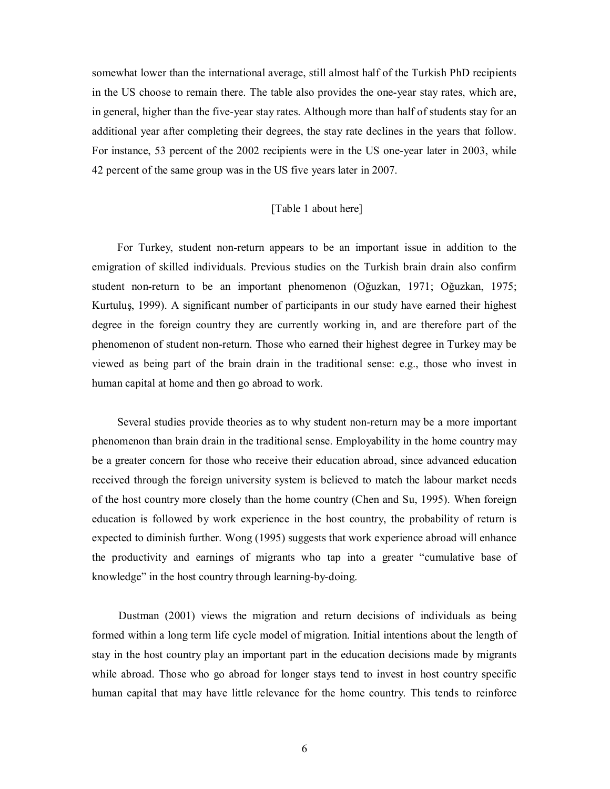somewhat lower than the international average, still almost half of the Turkish PhD recipients in the US choose to remain there. The table also provides the one-year stay rates, which are, in general, higher than the five-year stay rates. Although more than half of students stay for an additional year after completing their degrees, the stay rate declines in the years that follow. For instance, 53 percent of the 2002 recipients were in the US one-year later in 2003, while 42 percent of the same group was in the US five years later in 2007.

#### [Table 1 about here]

For Turkey, student non-return appears to be an important issue in addition to the emigration of skilled individuals. Previous studies on the Turkish brain drain also confirm student non-return to be an important phenomenon (Oğuzkan, 1971; Oğuzkan, 1975; Kurtuluş, 1999). A significant number of participants in our study have earned their highest degree in the foreign country they are currently working in, and are therefore part of the phenomenon of student non-return. Those who earned their highest degree in Turkey may be viewed as being part of the brain drain in the traditional sense: e.g., those who invest in human capital at home and then go abroad to work.

Several studies provide theories as to why student non-return may be a more important phenomenon than brain drain in the traditional sense. Employability in the home country may be a greater concern for those who receive their education abroad, since advanced education received through the foreign university system is believed to match the labour market needs of the host country more closely than the home country (Chen and Su, 1995). When foreign education is followed by work experience in the host country, the probability of return is expected to diminish further. Wong (1995) suggests that work experience abroad will enhance the productivity and earnings of migrants who tap into a greater "cumulative base of knowledge" in the host country through learning-by-doing.

Dustman (2001) views the migration and return decisions of individuals as being formed within a long term life cycle model of migration. Initial intentions about the length of stay in the host country play an important part in the education decisions made by migrants while abroad. Those who go abroad for longer stays tend to invest in host country specific human capital that may have little relevance for the home country. This tends to reinforce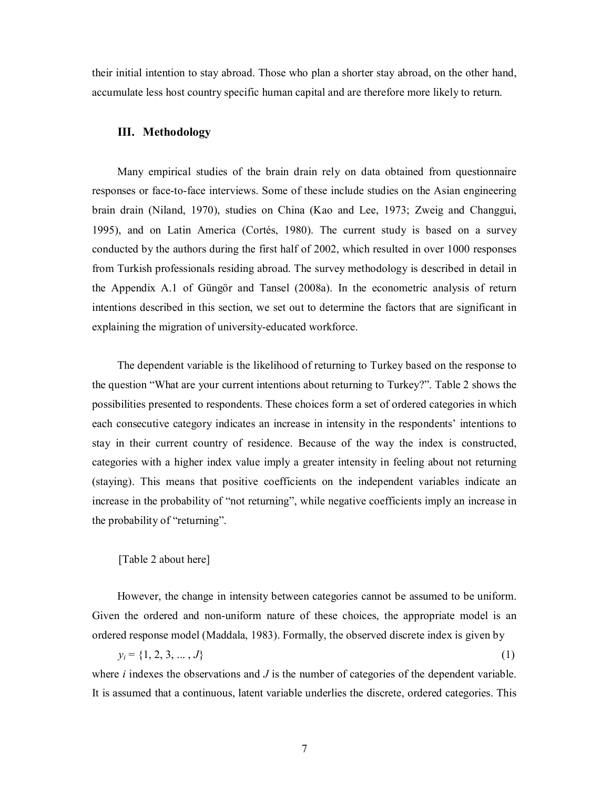their initial intention to stay abroad. Those who plan a shorter stay abroad, on the other hand, accumulate less host country specific human capital and are therefore more likely to return.

#### **III. Methodology**

Many empirical studies of the brain drain rely on data obtained from questionnaire responses or face-to-face interviews. Some of these include studies on the Asian engineering brain drain (Niland, 1970), studies on China (Kao and Lee, 1973; Zweig and Changgui, 1995), and on Latin America (Cortés, 1980). The current study is based on a survey conducted by the authors during the first half of 2002, which resulted in over 1000 responses from Turkish professionals residing abroad. The survey methodology is described in detail in the Appendix A.1 of Güngör and Tansel (2008a). In the econometric analysis of return intentions described in this section, we set out to determine the factors that are significant in explaining the migration of university-educated workforce.

The dependent variable is the likelihood of returning to Turkey based on the response to the question "What are your current intentions about returning to Turkey?". Table 2 shows the possibilities presented to respondents. These choices form a set of ordered categories in which each consecutive category indicates an increase in intensity in the respondents' intentions to stay in their current country of residence. Because of the way the index is constructed, categories with a higher index value imply a greater intensity in feeling about not returning (staying). This means that positive coefficients on the independent variables indicate an increase in the probability of "not returning", while negative coefficients imply an increase in the probability of "returning".

#### [Table 2 about here]

However, the change in intensity between categories cannot be assumed to be uniform. Given the ordered and non-uniform nature of these choices, the appropriate model is an ordered response model (Maddala, 1983). Formally, the observed discrete index is given by

 $y_i = \{1, 2, 3, \ldots, J\}$  (1)

where *i* indexes the observations and *J* is the number of categories of the dependent variable. It is assumed that a continuous, latent variable underlies the discrete, ordered categories. This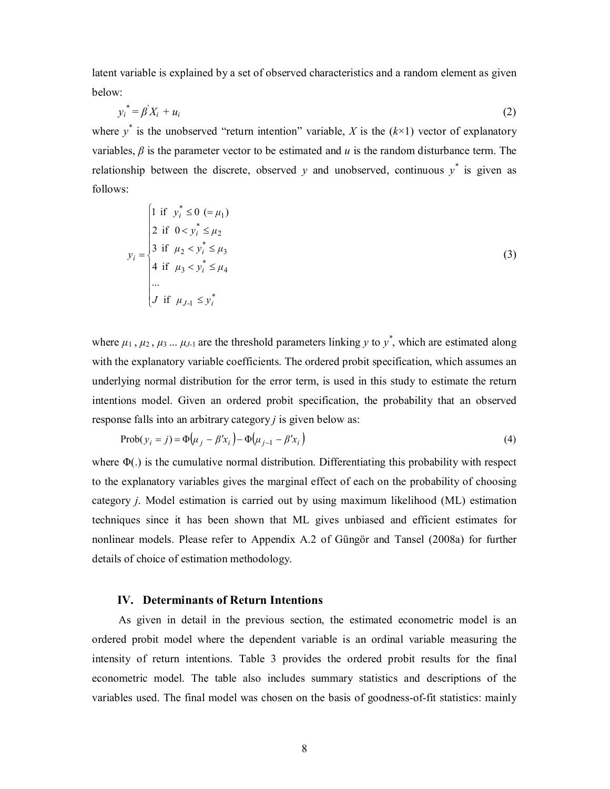latent variable is explained by a set of observed characteristics and a random element as given below:

$$
y_i^* = \beta' X_i + u_i \tag{2}
$$

where  $y^*$  is the unobserved "return intention" variable, *X* is the  $(k \times 1)$  vector of explanatory variables,  $\beta$  is the parameter vector to be estimated and  $u$  is the random disturbance term. The relationship between the discrete, observed  $y$  and unobserved, continuous  $y^*$  is given as follows:

$$
y_{i} = \begin{cases} 1 & \text{if } y_{i}^{*} \leq 0 \ (= \mu_{1}) \\ 2 & \text{if } 0 < y_{i}^{*} \leq \mu_{2} \\ 3 & \text{if } \mu_{2} < y_{i}^{*} \leq \mu_{3} \\ 4 & \text{if } \mu_{3} < y_{i}^{*} \leq \mu_{4} \\ \dots \\ J & \text{if } \mu_{J-1} \leq y_{i}^{*} \end{cases}
$$
(3)

where  $\mu_1$ ,  $\mu_2$ ,  $\mu_3$  ...  $\mu_{J-1}$  are the threshold parameters linking *y* to *y*<sup>\*</sup>, which are estimated along with the explanatory variable coefficients. The ordered probit specification, which assumes an underlying normal distribution for the error term, is used in this study to estimate the return intentions model. Given an ordered probit specification, the probability that an observed response falls into an arbitrary category *j* is given below as:

$$
\text{Prob}(y_i = j) = \Phi(\mu_j - \beta' x_i) - \Phi(\mu_{j-1} - \beta' x_i)
$$
\n<sup>(4)</sup>

where  $\Phi(.)$  is the cumulative normal distribution. Differentiating this probability with respect to the explanatory variables gives the marginal effect of each on the probability of choosing category *j*. Model estimation is carried out by using maximum likelihood (ML) estimation techniques since it has been shown that ML gives unbiased and efficient estimates for nonlinear models. Please refer to Appendix A.2 of Güngör and Tansel (2008a) for further details of choice of estimation methodology.

#### **IV. Determinants of Return Intentions**

As given in detail in the previous section, the estimated econometric model is an ordered probit model where the dependent variable is an ordinal variable measuring the intensity of return intentions. Table 3 provides the ordered probit results for the final econometric model. The table also includes summary statistics and descriptions of the variables used. The final model was chosen on the basis of goodness-of-fit statistics: mainly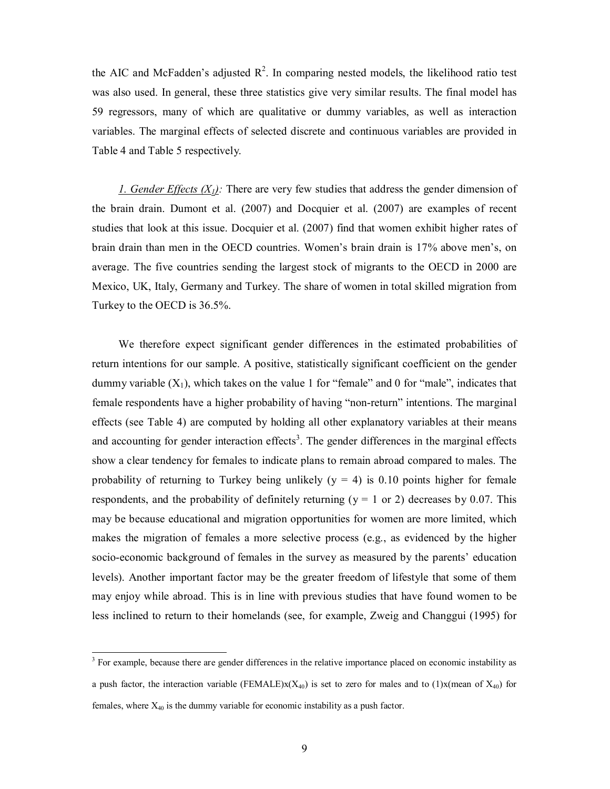the AIC and McFadden's adjusted  $R^2$ . In comparing nested models, the likelihood ratio test was also used. In general, these three statistics give very similar results. The final model has 59 regressors, many of which are qualitative or dummy variables, as well as interaction variables. The marginal effects of selected discrete and continuous variables are provided in Table 4 and Table 5 respectively.

*1. Gender Effects (X1):* There are very few studies that address the gender dimension of the brain drain. Dumont et al. (2007) and Docquier et al. (2007) are examples of recent studies that look at this issue. Docquier et al. (2007) find that women exhibit higher rates of brain drain than men in the OECD countries. Women's brain drain is 17% above men's, on average. The five countries sending the largest stock of migrants to the OECD in 2000 are Mexico, UK, Italy, Germany and Turkey. The share of women in total skilled migration from Turkey to the OECD is 36.5%.

We therefore expect significant gender differences in the estimated probabilities of return intentions for our sample. A positive, statistically significant coefficient on the gender dummy variable  $(X_1)$ , which takes on the value 1 for "female" and 0 for "male", indicates that female respondents have a higher probability of having "non-return" intentions. The marginal effects (see Table 4) are computed by holding all other explanatory variables at their means and accounting for gender interaction effects<sup>3</sup>. The gender differences in the marginal effects show a clear tendency for females to indicate plans to remain abroad compared to males. The probability of returning to Turkey being unlikely  $(y = 4)$  is 0.10 points higher for female respondents, and the probability of definitely returning ( $y = 1$  or 2) decreases by 0.07. This may be because educational and migration opportunities for women are more limited, which makes the migration of females a more selective process (e.g., as evidenced by the higher socio-economic background of females in the survey as measured by the parents' education levels). Another important factor may be the greater freedom of lifestyle that some of them may enjoy while abroad. This is in line with previous studies that have found women to be less inclined to return to their homelands (see, for example, Zweig and Changgui (1995) for

<sup>&</sup>lt;sup>3</sup> For example, because there are gender differences in the relative importance placed on economic instability as a push factor, the interaction variable (FEMALE) $x(X_{40})$  is set to zero for males and to (1)x(mean of  $X_{40}$ ) for females, where  $X_{40}$  is the dummy variable for economic instability as a push factor.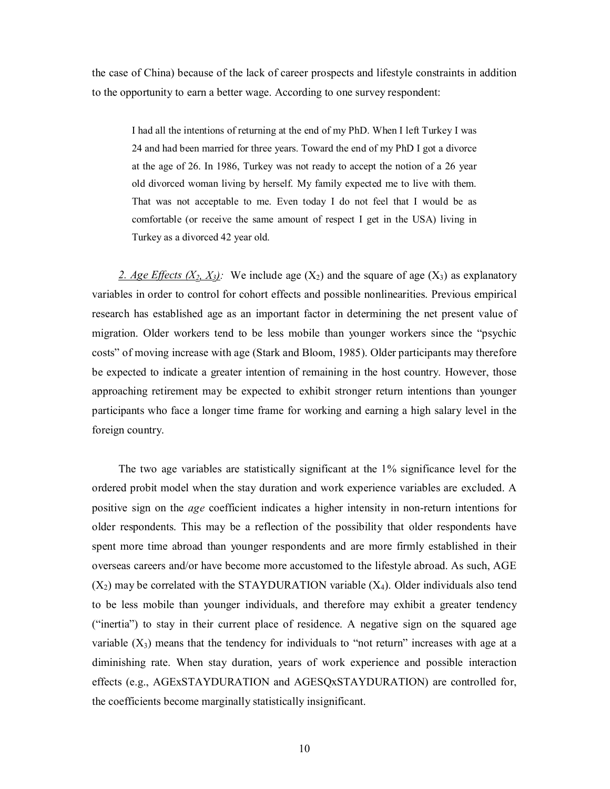the case of China) because of the lack of career prospects and lifestyle constraints in addition to the opportunity to earn a better wage. According to one survey respondent:

I had all the intentions of returning at the end of my PhD. When I left Turkey I was 24 and had been married for three years. Toward the end of my PhD I got a divorce at the age of 26. In 1986, Turkey was not ready to accept the notion of a 26 year old divorced woman living by herself. My family expected me to live with them. That was not acceptable to me. Even today I do not feel that I would be as comfortable (or receive the same amount of respect I get in the USA) living in Turkey as a divorced 42 year old.

2. Age Effects  $(X_2, X_3)$ : We include age  $(X_2)$  and the square of age  $(X_3)$  as explanatory variables in order to control for cohort effects and possible nonlinearities. Previous empirical research has established age as an important factor in determining the net present value of migration. Older workers tend to be less mobile than younger workers since the "psychic costs" of moving increase with age (Stark and Bloom, 1985). Older participants may therefore be expected to indicate a greater intention of remaining in the host country. However, those approaching retirement may be expected to exhibit stronger return intentions than younger participants who face a longer time frame for working and earning a high salary level in the foreign country.

The two age variables are statistically significant at the 1% significance level for the ordered probit model when the stay duration and work experience variables are excluded. A positive sign on the *age* coefficient indicates a higher intensity in non-return intentions for older respondents. This may be a reflection of the possibility that older respondents have spent more time abroad than younger respondents and are more firmly established in their overseas careers and/or have become more accustomed to the lifestyle abroad. As such, AGE  $(X_2)$  may be correlated with the STAYDURATION variable  $(X_4)$ . Older individuals also tend to be less mobile than younger individuals, and therefore may exhibit a greater tendency ("inertia") to stay in their current place of residence. A negative sign on the squared age variable  $(X_3)$  means that the tendency for individuals to "not return" increases with age at a diminishing rate. When stay duration, years of work experience and possible interaction effects (e.g., AGExSTAYDURATION and AGESQxSTAYDURATION) are controlled for, the coefficients become marginally statistically insignificant.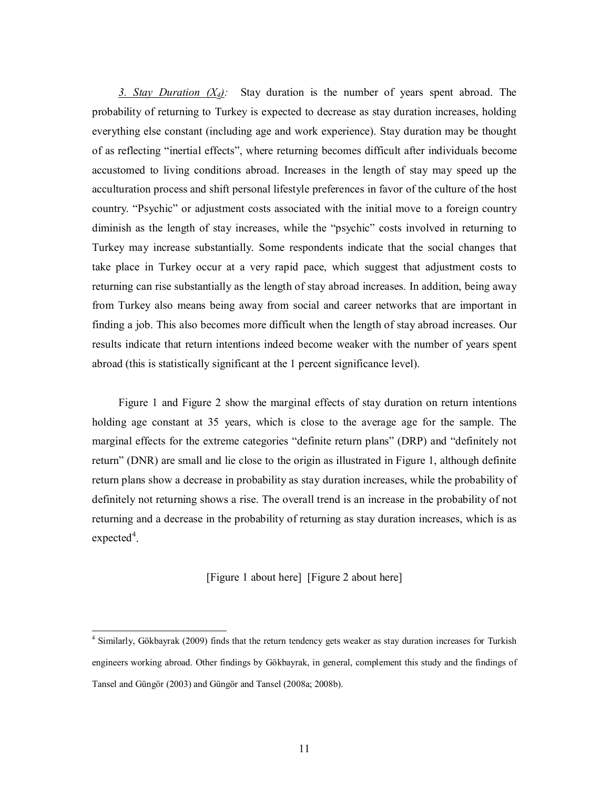*3. Stay Duration (X4):* Stay duration is the number of years spent abroad. The probability of returning to Turkey is expected to decrease as stay duration increases, holding everything else constant (including age and work experience). Stay duration may be thought of as reflecting "inertial effects", where returning becomes difficult after individuals become accustomed to living conditions abroad. Increases in the length of stay may speed up the acculturation process and shift personal lifestyle preferences in favor of the culture of the host country. "Psychic" or adjustment costs associated with the initial move to a foreign country diminish as the length of stay increases, while the "psychic" costs involved in returning to Turkey may increase substantially. Some respondents indicate that the social changes that take place in Turkey occur at a very rapid pace, which suggest that adjustment costs to returning can rise substantially as the length of stay abroad increases. In addition, being away from Turkey also means being away from social and career networks that are important in finding a job. This also becomes more difficult when the length of stay abroad increases. Our results indicate that return intentions indeed become weaker with the number of years spent abroad (this is statistically significant at the 1 percent significance level).

Figure 1 and Figure 2 show the marginal effects of stay duration on return intentions holding age constant at 35 years, which is close to the average age for the sample. The marginal effects for the extreme categories "definite return plans" (DRP) and "definitely not return" (DNR) are small and lie close to the origin as illustrated in Figure 1, although definite return plans show a decrease in probability as stay duration increases, while the probability of definitely not returning shows a rise. The overall trend is an increase in the probability of not returning and a decrease in the probability of returning as stay duration increases, which is as  $expected<sup>4</sup>$ .

#### [Figure 1 about here] [Figure 2 about here]

 4 Similarly, Gökbayrak (2009) finds that the return tendency gets weaker as stay duration increases for Turkish engineers working abroad. Other findings by Gökbayrak, in general, complement this study and the findings of Tansel and Güngör (2003) and Güngör and Tansel (2008a; 2008b).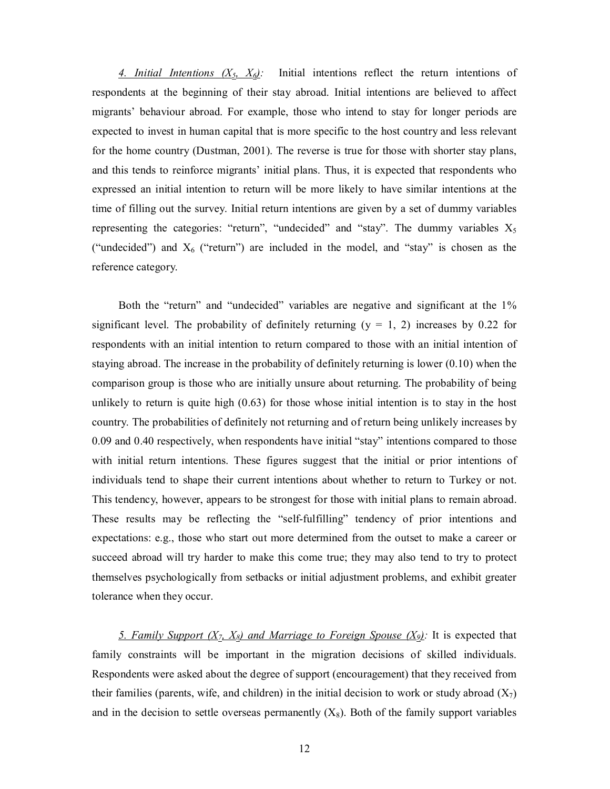*4. Initial Intentions (X5, X6):* Initial intentions reflect the return intentions of respondents at the beginning of their stay abroad. Initial intentions are believed to affect migrants' behaviour abroad. For example, those who intend to stay for longer periods are expected to invest in human capital that is more specific to the host country and less relevant for the home country (Dustman, 2001). The reverse is true for those with shorter stay plans, and this tends to reinforce migrants' initial plans. Thus, it is expected that respondents who expressed an initial intention to return will be more likely to have similar intentions at the time of filling out the survey. Initial return intentions are given by a set of dummy variables representing the categories: "return", "undecided" and "stay". The dummy variables  $X_5$ ("undecided") and  $X_6$  ("return") are included in the model, and "stay" is chosen as the reference category.

Both the "return" and "undecided" variables are negative and significant at the 1% significant level. The probability of definitely returning  $(y = 1, 2)$  increases by 0.22 for respondents with an initial intention to return compared to those with an initial intention of staying abroad. The increase in the probability of definitely returning is lower (0.10) when the comparison group is those who are initially unsure about returning. The probability of being unlikely to return is quite high (0.63) for those whose initial intention is to stay in the host country. The probabilities of definitely not returning and of return being unlikely increases by 0.09 and 0.40 respectively, when respondents have initial "stay" intentions compared to those with initial return intentions. These figures suggest that the initial or prior intentions of individuals tend to shape their current intentions about whether to return to Turkey or not. This tendency, however, appears to be strongest for those with initial plans to remain abroad. These results may be reflecting the "self-fulfilling" tendency of prior intentions and expectations: e.g., those who start out more determined from the outset to make a career or succeed abroad will try harder to make this come true; they may also tend to try to protect themselves psychologically from setbacks or initial adjustment problems, and exhibit greater tolerance when they occur.

5. Family Support  $(X_7, X_8)$  and Marriage to Foreign Spouse  $(X_9)$ . It is expected that family constraints will be important in the migration decisions of skilled individuals. Respondents were asked about the degree of support (encouragement) that they received from their families (parents, wife, and children) in the initial decision to work or study abroad  $(X_7)$ and in the decision to settle overseas permanently  $(X_8)$ . Both of the family support variables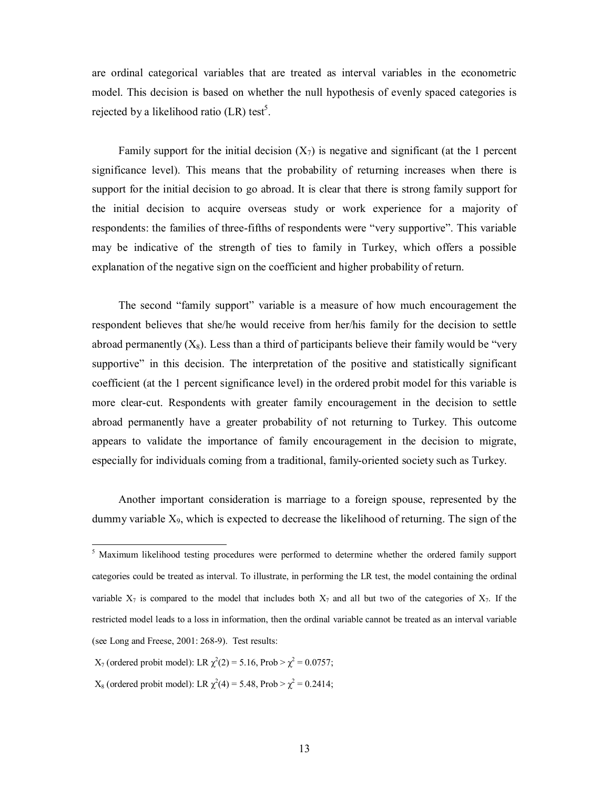are ordinal categorical variables that are treated as interval variables in the econometric model. This decision is based on whether the null hypothesis of evenly spaced categories is rejected by a likelihood ratio (LR) test<sup>5</sup>.

Family support for the initial decision  $(X_7)$  is negative and significant (at the 1 percent significance level). This means that the probability of returning increases when there is support for the initial decision to go abroad. It is clear that there is strong family support for the initial decision to acquire overseas study or work experience for a majority of respondents: the families of three-fifths of respondents were "very supportive". This variable may be indicative of the strength of ties to family in Turkey, which offers a possible explanation of the negative sign on the coefficient and higher probability of return.

The second "family support" variable is a measure of how much encouragement the respondent believes that she/he would receive from her/his family for the decision to settle abroad permanently  $(X_8)$ . Less than a third of participants believe their family would be "very supportive" in this decision. The interpretation of the positive and statistically significant coefficient (at the 1 percent significance level) in the ordered probit model for this variable is more clear-cut. Respondents with greater family encouragement in the decision to settle abroad permanently have a greater probability of not returning to Turkey. This outcome appears to validate the importance of family encouragement in the decision to migrate, especially for individuals coming from a traditional, family-oriented society such as Turkey.

Another important consideration is marriage to a foreign spouse, represented by the dummy variable X9, which is expected to decrease the likelihood of returning. The sign of the

 $X_7$  (ordered probit model): LR  $\chi^2(2) = 5.16$ , Prob >  $\chi^2 = 0.0757$ ;

 $X_8$  (ordered probit model): LR  $\chi^2(4) = 5.48$ , Prob >  $\chi^2 = 0.2414$ ;

<sup>&</sup>lt;sup>5</sup> Maximum likelihood testing procedures were performed to determine whether the ordered family support categories could be treated as interval. To illustrate, in performing the LR test, the model containing the ordinal variable  $X_7$  is compared to the model that includes both  $X_7$  and all but two of the categories of  $X_7$ . If the restricted model leads to a loss in information, then the ordinal variable cannot be treated as an interval variable (see Long and Freese, 2001: 268-9). Test results: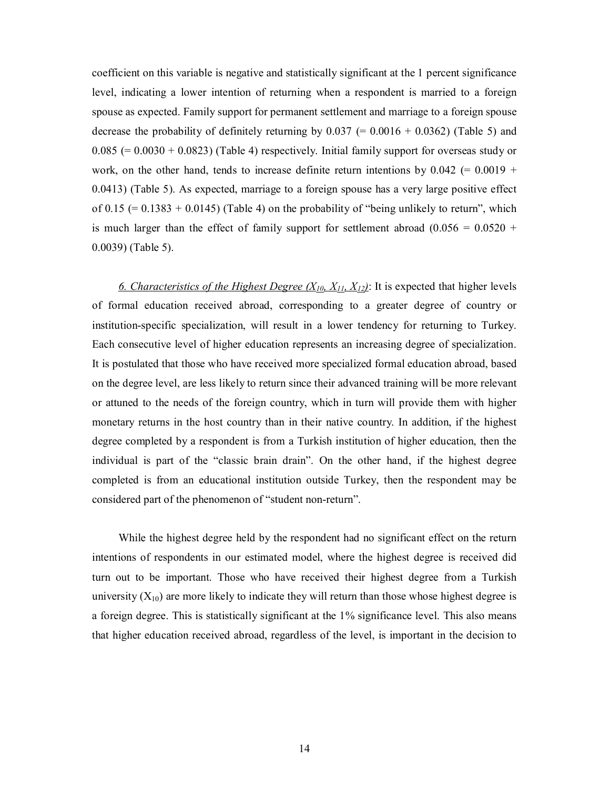coefficient on this variable is negative and statistically significant at the 1 percent significance level, indicating a lower intention of returning when a respondent is married to a foreign spouse as expected. Family support for permanent settlement and marriage to a foreign spouse decrease the probability of definitely returning by  $0.037$  (=  $0.0016 + 0.0362$ ) (Table 5) and  $0.085$  (=  $0.0030 + 0.0823$ ) (Table 4) respectively. Initial family support for overseas study or work, on the other hand, tends to increase definite return intentions by  $0.042$  (= 0.0019 + 0.0413) (Table 5). As expected, marriage to a foreign spouse has a very large positive effect of 0.15 ( $= 0.1383 + 0.0145$ ) (Table 4) on the probability of "being unlikely to return", which is much larger than the effect of family support for settlement abroad  $(0.056 = 0.0520 +$ 0.0039) (Table 5).

6. Characteristics of the Highest Degree  $(X_{10}, X_{11}, X_{12})$ : It is expected that higher levels of formal education received abroad, corresponding to a greater degree of country or institution-specific specialization, will result in a lower tendency for returning to Turkey. Each consecutive level of higher education represents an increasing degree of specialization. It is postulated that those who have received more specialized formal education abroad, based on the degree level, are less likely to return since their advanced training will be more relevant or attuned to the needs of the foreign country, which in turn will provide them with higher monetary returns in the host country than in their native country. In addition, if the highest degree completed by a respondent is from a Turkish institution of higher education, then the individual is part of the "classic brain drain". On the other hand, if the highest degree completed is from an educational institution outside Turkey, then the respondent may be considered part of the phenomenon of "student non-return".

While the highest degree held by the respondent had no significant effect on the return intentions of respondents in our estimated model, where the highest degree is received did turn out to be important. Those who have received their highest degree from a Turkish university  $(X_{10})$  are more likely to indicate they will return than those whose highest degree is a foreign degree. This is statistically significant at the 1% significance level. This also means that higher education received abroad, regardless of the level, is important in the decision to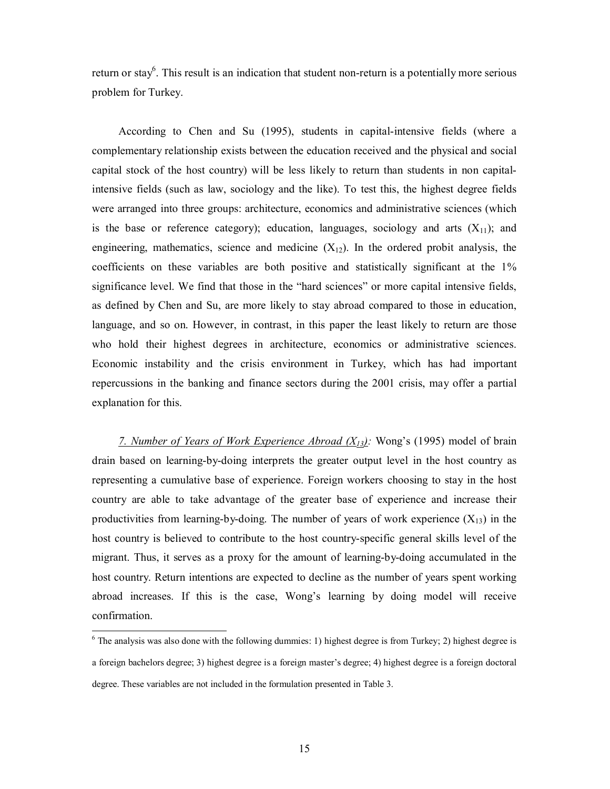return or stay<sup>6</sup>. This result is an indication that student non-return is a potentially more serious problem for Turkey.

According to Chen and Su (1995), students in capital-intensive fields (where a complementary relationship exists between the education received and the physical and social capital stock of the host country) will be less likely to return than students in non capitalintensive fields (such as law, sociology and the like). To test this, the highest degree fields were arranged into three groups: architecture, economics and administrative sciences (which is the base or reference category); education, languages, sociology and arts  $(X_{11})$ ; and engineering, mathematics, science and medicine  $(X_1)$ . In the ordered probit analysis, the coefficients on these variables are both positive and statistically significant at the 1% significance level. We find that those in the "hard sciences" or more capital intensive fields, as defined by Chen and Su, are more likely to stay abroad compared to those in education, language, and so on. However, in contrast, in this paper the least likely to return are those who hold their highest degrees in architecture, economics or administrative sciences. Economic instability and the crisis environment in Turkey, which has had important repercussions in the banking and finance sectors during the 2001 crisis, may offer a partial explanation for this.

*7. Number of Years of Work Experience Abroad (X13):* Wong's (1995) model of brain drain based on learning-by-doing interprets the greater output level in the host country as representing a cumulative base of experience. Foreign workers choosing to stay in the host country are able to take advantage of the greater base of experience and increase their productivities from learning-by-doing. The number of years of work experience  $(X_{13})$  in the host country is believed to contribute to the host country-specific general skills level of the migrant. Thus, it serves as a proxy for the amount of learning-by-doing accumulated in the host country. Return intentions are expected to decline as the number of years spent working abroad increases. If this is the case, Wong's learning by doing model will receive confirmation.

<sup>&</sup>lt;sup>6</sup> The analysis was also done with the following dummies: 1) highest degree is from Turkey; 2) highest degree is a foreign bachelors degree; 3) highest degree is a foreign master's degree; 4) highest degree is a foreign doctoral degree. These variables are not included in the formulation presented in Table 3.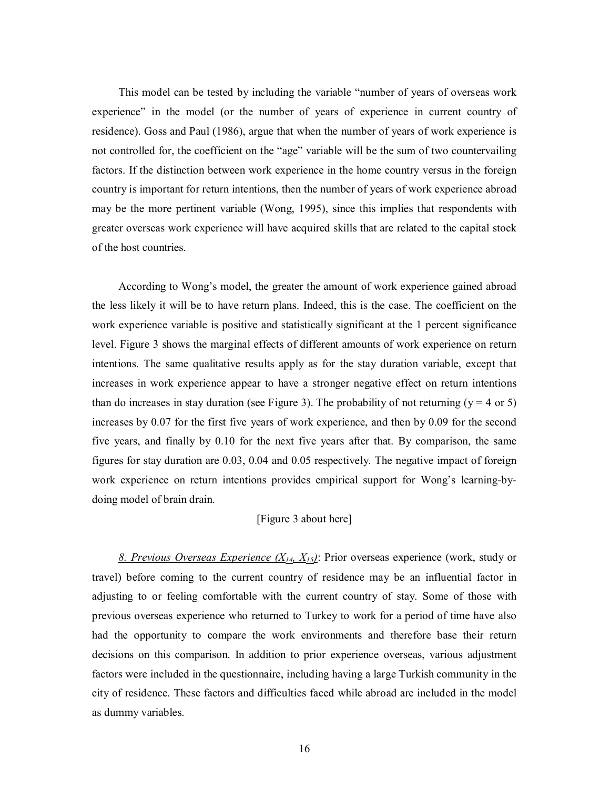This model can be tested by including the variable "number of years of overseas work experience" in the model (or the number of years of experience in current country of residence). Goss and Paul (1986), argue that when the number of years of work experience is not controlled for, the coefficient on the "age" variable will be the sum of two countervailing factors. If the distinction between work experience in the home country versus in the foreign country is important for return intentions, then the number of years of work experience abroad may be the more pertinent variable (Wong, 1995), since this implies that respondents with greater overseas work experience will have acquired skills that are related to the capital stock of the host countries.

According to Wong's model, the greater the amount of work experience gained abroad the less likely it will be to have return plans. Indeed, this is the case. The coefficient on the work experience variable is positive and statistically significant at the 1 percent significance level. Figure 3 shows the marginal effects of different amounts of work experience on return intentions. The same qualitative results apply as for the stay duration variable, except that increases in work experience appear to have a stronger negative effect on return intentions than do increases in stay duration (see Figure 3). The probability of not returning ( $y = 4$  or 5) increases by 0.07 for the first five years of work experience, and then by 0.09 for the second five years, and finally by 0.10 for the next five years after that. By comparison, the same figures for stay duration are 0.03, 0.04 and 0.05 respectively. The negative impact of foreign work experience on return intentions provides empirical support for Wong's learning-bydoing model of brain drain.

#### [Figure 3 about here]

*8. Previous Overseas Experience (X14, X15)*: Prior overseas experience (work, study or travel) before coming to the current country of residence may be an influential factor in adjusting to or feeling comfortable with the current country of stay. Some of those with previous overseas experience who returned to Turkey to work for a period of time have also had the opportunity to compare the work environments and therefore base their return decisions on this comparison. In addition to prior experience overseas, various adjustment factors were included in the questionnaire, including having a large Turkish community in the city of residence. These factors and difficulties faced while abroad are included in the model as dummy variables.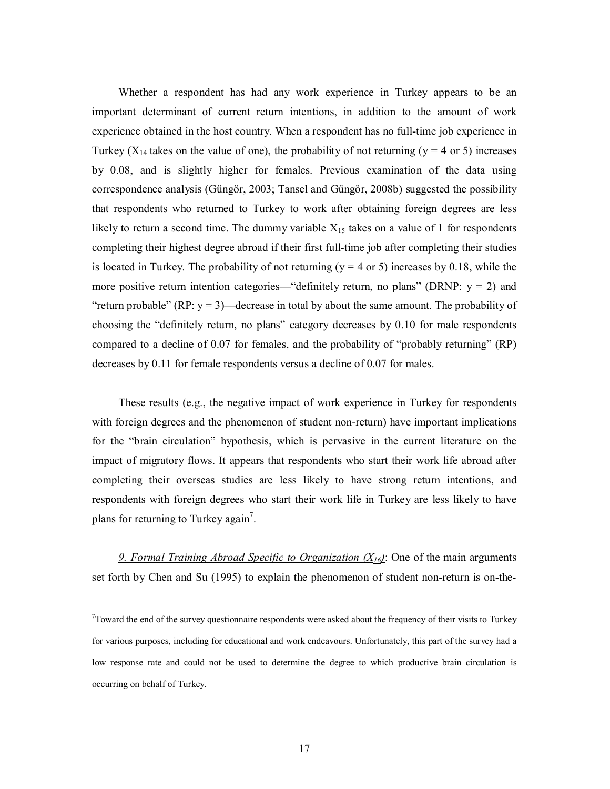Whether a respondent has had any work experience in Turkey appears to be an important determinant of current return intentions, in addition to the amount of work experience obtained in the host country. When a respondent has no full-time job experience in Turkey ( $X_{14}$  takes on the value of one), the probability of not returning ( $y = 4$  or 5) increases by 0.08, and is slightly higher for females. Previous examination of the data using correspondence analysis (Güngör, 2003; Tansel and Güngör, 2008b) suggested the possibility that respondents who returned to Turkey to work after obtaining foreign degrees are less likely to return a second time. The dummy variable  $X_{15}$  takes on a value of 1 for respondents completing their highest degree abroad if their first full-time job after completing their studies is located in Turkey. The probability of not returning ( $y = 4$  or 5) increases by 0.18, while the more positive return intention categories—"definitely return, no plans" (DRNP:  $y = 2$ ) and "return probable" (RP:  $y = 3$ )—decrease in total by about the same amount. The probability of choosing the "definitely return, no plans" category decreases by 0.10 for male respondents compared to a decline of 0.07 for females, and the probability of "probably returning" (RP) decreases by 0.11 for female respondents versus a decline of 0.07 for males.

These results (e.g., the negative impact of work experience in Turkey for respondents with foreign degrees and the phenomenon of student non-return) have important implications for the "brain circulation" hypothesis, which is pervasive in the current literature on the impact of migratory flows. It appears that respondents who start their work life abroad after completing their overseas studies are less likely to have strong return intentions, and respondents with foreign degrees who start their work life in Turkey are less likely to have plans for returning to Turkey again<sup>7</sup>.

*9. Formal Training Abroad Specific to Organization (X16)*: One of the main arguments set forth by Chen and Su (1995) to explain the phenomenon of student non-return is on-the-

 $\overline{a}$ 

 $7$ Toward the end of the survey questionnaire respondents were asked about the frequency of their visits to Turkey for various purposes, including for educational and work endeavours. Unfortunately, this part of the survey had a low response rate and could not be used to determine the degree to which productive brain circulation is occurring on behalf of Turkey.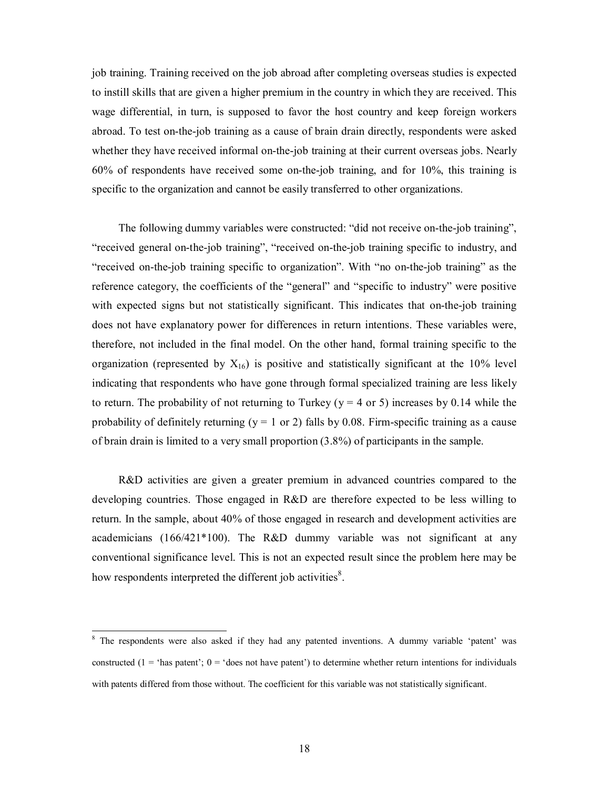job training. Training received on the job abroad after completing overseas studies is expected to instill skills that are given a higher premium in the country in which they are received. This wage differential, in turn, is supposed to favor the host country and keep foreign workers abroad. To test on-the-job training as a cause of brain drain directly, respondents were asked whether they have received informal on-the-job training at their current overseas jobs. Nearly 60% of respondents have received some on-the-job training, and for 10%, this training is specific to the organization and cannot be easily transferred to other organizations.

The following dummy variables were constructed: "did not receive on-the-job training", "received general on-the-job training", "received on-the-job training specific to industry, and "received on-the-job training specific to organization". With "no on-the-job training" as the reference category, the coefficients of the "general" and "specific to industry" were positive with expected signs but not statistically significant. This indicates that on-the-job training does not have explanatory power for differences in return intentions. These variables were, therefore, not included in the final model. On the other hand, formal training specific to the organization (represented by  $X_{16}$ ) is positive and statistically significant at the 10% level indicating that respondents who have gone through formal specialized training are less likely to return. The probability of not returning to Turkey ( $y = 4$  or 5) increases by 0.14 while the probability of definitely returning ( $y = 1$  or 2) falls by 0.08. Firm-specific training as a cause of brain drain is limited to a very small proportion (3.8%) of participants in the sample.

R&D activities are given a greater premium in advanced countries compared to the developing countries. Those engaged in R&D are therefore expected to be less willing to return. In the sample, about 40% of those engaged in research and development activities are academicians  $(166/421*100)$ . The R&D dummy variable was not significant at any conventional significance level. This is not an expected result since the problem here may be how respondents interpreted the different job activities<sup>8</sup>.

<sup>&</sup>lt;sup>8</sup> The respondents were also asked if they had any patented inventions. A dummy variable 'patent' was constructed (1 = 'has patent';  $0 =$  'does not have patent') to determine whether return intentions for individuals with patents differed from those without. The coefficient for this variable was not statistically significant.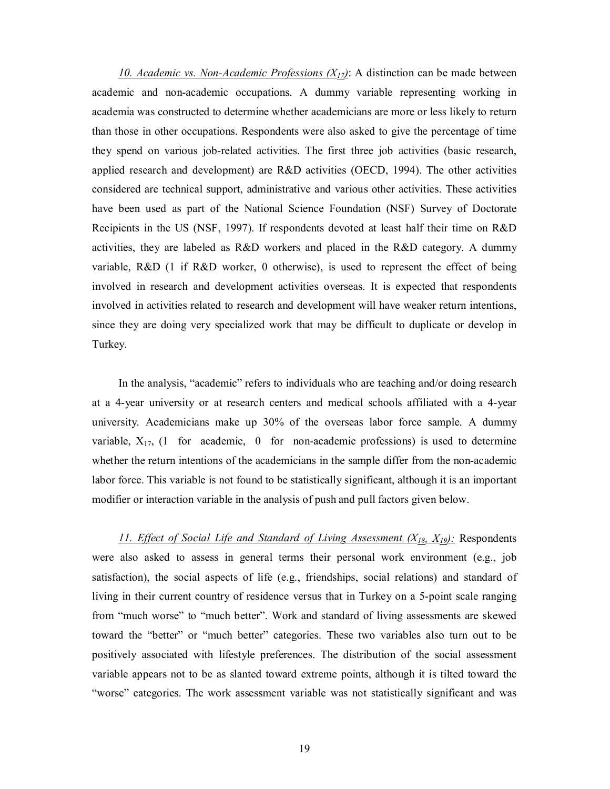*10. Academic vs. Non-Academic Professions (X17)*: A distinction can be made between academic and non-academic occupations. A dummy variable representing working in academia was constructed to determine whether academicians are more or less likely to return than those in other occupations. Respondents were also asked to give the percentage of time they spend on various job-related activities. The first three job activities (basic research, applied research and development) are R&D activities (OECD, 1994). The other activities considered are technical support, administrative and various other activities. These activities have been used as part of the National Science Foundation (NSF) Survey of Doctorate Recipients in the US (NSF, 1997). If respondents devoted at least half their time on R&D activities, they are labeled as R&D workers and placed in the R&D category. A dummy variable, R&D (1 if R&D worker, 0 otherwise), is used to represent the effect of being involved in research and development activities overseas. It is expected that respondents involved in activities related to research and development will have weaker return intentions, since they are doing very specialized work that may be difficult to duplicate or develop in Turkey.

In the analysis, "academic" refers to individuals who are teaching and/or doing research at a 4-year university or at research centers and medical schools affiliated with a 4-year university. Academicians make up 30% of the overseas labor force sample. A dummy variable,  $X_{17}$ , (1 for academic, 0 for non-academic professions) is used to determine whether the return intentions of the academicians in the sample differ from the non-academic labor force. This variable is not found to be statistically significant, although it is an important modifier or interaction variable in the analysis of push and pull factors given below.

*11. Effect of Social Life and Standard of Living Assessment (X18, X19):* Respondents were also asked to assess in general terms their personal work environment (e.g., job satisfaction), the social aspects of life (e.g., friendships, social relations) and standard of living in their current country of residence versus that in Turkey on a 5-point scale ranging from "much worse" to "much better". Work and standard of living assessments are skewed toward the "better" or "much better" categories. These two variables also turn out to be positively associated with lifestyle preferences. The distribution of the social assessment variable appears not to be as slanted toward extreme points, although it is tilted toward the "worse" categories. The work assessment variable was not statistically significant and was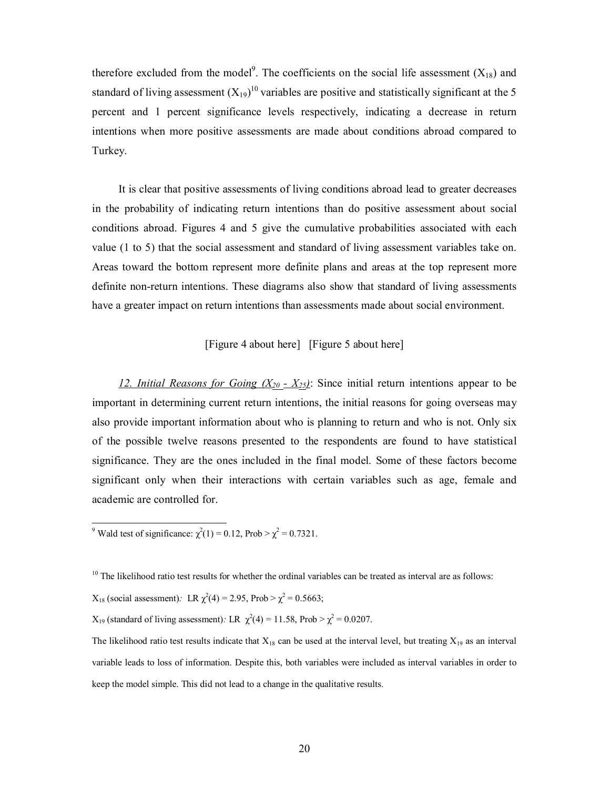therefore excluded from the model<sup>9</sup>. The coefficients on the social life assessment  $(X_{18})$  and standard of living assessment  $(X_{19})^{10}$  variables are positive and statistically significant at the 5 percent and 1 percent significance levels respectively, indicating a decrease in return intentions when more positive assessments are made about conditions abroad compared to Turkey.

It is clear that positive assessments of living conditions abroad lead to greater decreases in the probability of indicating return intentions than do positive assessment about social conditions abroad. Figures 4 and 5 give the cumulative probabilities associated with each value (1 to 5) that the social assessment and standard of living assessment variables take on. Areas toward the bottom represent more definite plans and areas at the top represent more definite non-return intentions. These diagrams also show that standard of living assessments have a greater impact on return intentions than assessments made about social environment.

#### [Figure 4 about here] [Figure 5 about here]

12. Initial Reasons for Going  $(X_{20} - X_{25})$ : Since initial return intentions appear to be important in determining current return intentions, the initial reasons for going overseas may also provide important information about who is planning to return and who is not. Only six of the possible twelve reasons presented to the respondents are found to have statistical significance. They are the ones included in the final model. Some of these factors become significant only when their interactions with certain variables such as age, female and academic are controlled for.

<sup>9</sup> Wald test of significance:  $\chi^2(1) = 0.12$ , Prob >  $\chi^2 = 0.7321$ .

 $10$  The likelihood ratio test results for whether the ordinal variables can be treated as interval are as follows:

 $X_{18}$  (social assessment): LR  $\chi^2(4) = 2.95$ , Prob  $>\chi^2 = 0.5663$ ;

 $X_{19}$  (standard of living assessment): LR  $\chi^2(4) = 11.58$ , Prob >  $\chi^2 = 0.0207$ .

The likelihood ratio test results indicate that  $X_{18}$  can be used at the interval level, but treating  $X_{19}$  as an interval variable leads to loss of information. Despite this, both variables were included as interval variables in order to keep the model simple. This did not lead to a change in the qualitative results.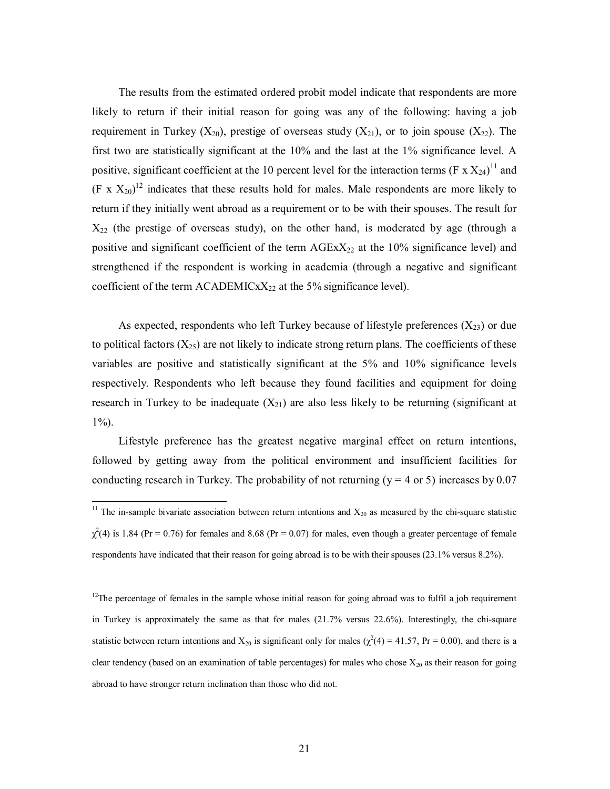The results from the estimated ordered probit model indicate that respondents are more likely to return if their initial reason for going was any of the following: having a job requirement in Turkey  $(X_{20})$ , prestige of overseas study  $(X_{21})$ , or to join spouse  $(X_{22})$ . The first two are statistically significant at the 10% and the last at the 1% significance level. A positive, significant coefficient at the 10 percent level for the interaction terms (F  $\propto$  X<sub>24</sub>)<sup>11</sup> and  $(F \times X_{20})^{12}$  indicates that these results hold for males. Male respondents are more likely to return if they initially went abroad as a requirement or to be with their spouses. The result for  $X_{22}$  (the prestige of overseas study), on the other hand, is moderated by age (through a positive and significant coefficient of the term  $AGExX_{22}$  at the 10% significance level) and strengthened if the respondent is working in academia (through a negative and significant coefficient of the term  $\text{ACADEMIC}xX_{22}$  at the 5% significance level).

As expected, respondents who left Turkey because of lifestyle preferences  $(X_{23})$  or due to political factors  $(X_{25})$  are not likely to indicate strong return plans. The coefficients of these variables are positive and statistically significant at the 5% and 10% significance levels respectively. Respondents who left because they found facilities and equipment for doing research in Turkey to be inadequate  $(X_{21})$  are also less likely to be returning (significant at  $1\%$ ).

Lifestyle preference has the greatest negative marginal effect on return intentions, followed by getting away from the political environment and insufficient facilities for conducting research in Turkey. The probability of not returning ( $y = 4$  or 5) increases by 0.07

 $\overline{a}$ 

<sup>&</sup>lt;sup>11</sup> The in-sample bivariate association between return intentions and  $X_{20}$  as measured by the chi-square statistic  $\chi^2$ (4) is 1.84 (Pr = 0.76) for females and 8.68 (Pr = 0.07) for males, even though a greater percentage of female respondents have indicated that their reason for going abroad is to be with their spouses (23.1% versus 8.2%).

 $12$ The percentage of females in the sample whose initial reason for going abroad was to fulfil a job requirement in Turkey is approximately the same as that for males (21.7% versus 22.6%). Interestingly, the chi-square statistic between return intentions and  $X_{20}$  is significant only for males ( $\chi^2(4) = 41.57$ , Pr = 0.00), and there is a clear tendency (based on an examination of table percentages) for males who chose  $X_{20}$  as their reason for going abroad to have stronger return inclination than those who did not.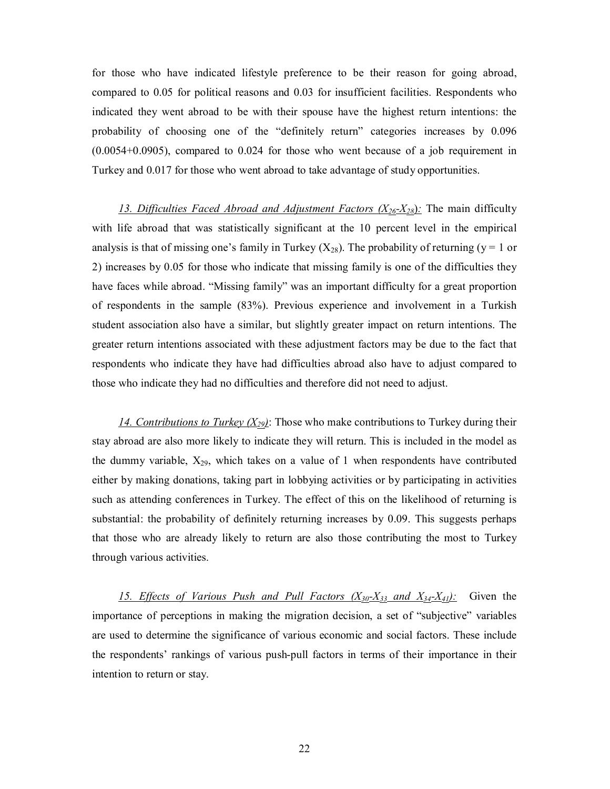for those who have indicated lifestyle preference to be their reason for going abroad, compared to 0.05 for political reasons and 0.03 for insufficient facilities. Respondents who indicated they went abroad to be with their spouse have the highest return intentions: the probability of choosing one of the "definitely return" categories increases by 0.096 (0.0054+0.0905), compared to 0.024 for those who went because of a job requirement in Turkey and 0.017 for those who went abroad to take advantage of study opportunities.

13. Difficulties Faced Abroad and Adjustment Factors  $(X_{26}-X_{28})$ : The main difficulty with life abroad that was statistically significant at the 10 percent level in the empirical analysis is that of missing one's family in Turkey  $(X_{28})$ . The probability of returning (y = 1 or 2) increases by 0.05 for those who indicate that missing family is one of the difficulties they have faces while abroad. "Missing family" was an important difficulty for a great proportion of respondents in the sample (83%). Previous experience and involvement in a Turkish student association also have a similar, but slightly greater impact on return intentions. The greater return intentions associated with these adjustment factors may be due to the fact that respondents who indicate they have had difficulties abroad also have to adjust compared to those who indicate they had no difficulties and therefore did not need to adjust.

14. Contributions to Turkey  $(X_{29})$ : Those who make contributions to Turkey during their stay abroad are also more likely to indicate they will return. This is included in the model as the dummy variable,  $X_{29}$ , which takes on a value of 1 when respondents have contributed either by making donations, taking part in lobbying activities or by participating in activities such as attending conferences in Turkey. The effect of this on the likelihood of returning is substantial: the probability of definitely returning increases by 0.09. This suggests perhaps that those who are already likely to return are also those contributing the most to Turkey through various activities.

*15. Effects of Various Push and Pull Factors (X30-X33 and X34-X41):* Given the importance of perceptions in making the migration decision, a set of "subjective" variables are used to determine the significance of various economic and social factors. These include the respondents' rankings of various push-pull factors in terms of their importance in their intention to return or stay.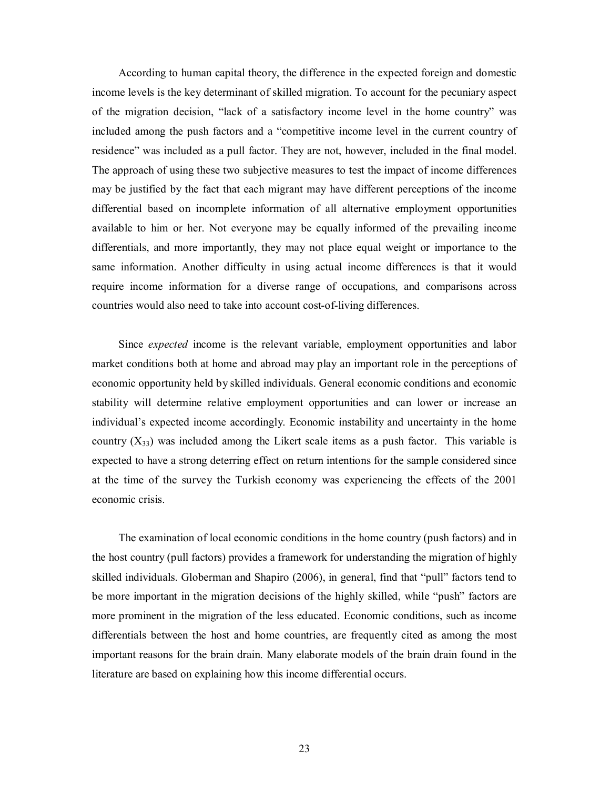According to human capital theory, the difference in the expected foreign and domestic income levels is the key determinant of skilled migration. To account for the pecuniary aspect of the migration decision, "lack of a satisfactory income level in the home country" was included among the push factors and a "competitive income level in the current country of residence" was included as a pull factor. They are not, however, included in the final model. The approach of using these two subjective measures to test the impact of income differences may be justified by the fact that each migrant may have different perceptions of the income differential based on incomplete information of all alternative employment opportunities available to him or her. Not everyone may be equally informed of the prevailing income differentials, and more importantly, they may not place equal weight or importance to the same information. Another difficulty in using actual income differences is that it would require income information for a diverse range of occupations, and comparisons across countries would also need to take into account cost-of-living differences.

Since *expected* income is the relevant variable, employment opportunities and labor market conditions both at home and abroad may play an important role in the perceptions of economic opportunity held by skilled individuals. General economic conditions and economic stability will determine relative employment opportunities and can lower or increase an individual's expected income accordingly. Economic instability and uncertainty in the home country  $(X_{33})$  was included among the Likert scale items as a push factor. This variable is expected to have a strong deterring effect on return intentions for the sample considered since at the time of the survey the Turkish economy was experiencing the effects of the 2001 economic crisis.

The examination of local economic conditions in the home country (push factors) and in the host country (pull factors) provides a framework for understanding the migration of highly skilled individuals. Globerman and Shapiro (2006), in general, find that "pull" factors tend to be more important in the migration decisions of the highly skilled, while "push" factors are more prominent in the migration of the less educated. Economic conditions, such as income differentials between the host and home countries, are frequently cited as among the most important reasons for the brain drain. Many elaborate models of the brain drain found in the literature are based on explaining how this income differential occurs.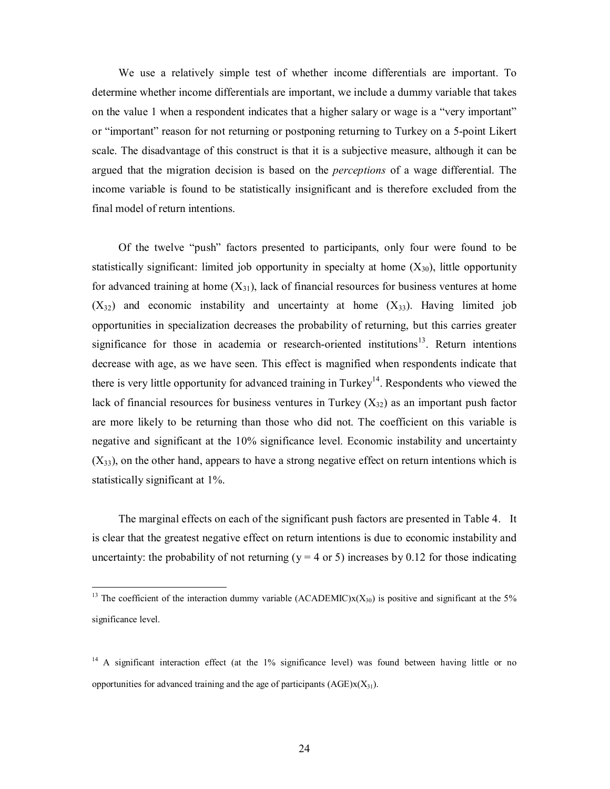We use a relatively simple test of whether income differentials are important. To determine whether income differentials are important, we include a dummy variable that takes on the value 1 when a respondent indicates that a higher salary or wage is a "very important" or "important" reason for not returning or postponing returning to Turkey on a 5-point Likert scale. The disadvantage of this construct is that it is a subjective measure, although it can be argued that the migration decision is based on the *perceptions* of a wage differential. The income variable is found to be statistically insignificant and is therefore excluded from the final model of return intentions.

Of the twelve "push" factors presented to participants, only four were found to be statistically significant: limited job opportunity in specialty at home  $(X_{30})$ , little opportunity for advanced training at home  $(X_{31})$ , lack of financial resources for business ventures at home  $(X_{32})$  and economic instability and uncertainty at home  $(X_{33})$ . Having limited job opportunities in specialization decreases the probability of returning, but this carries greater significance for those in academia or research-oriented institutions<sup>13</sup>. Return intentions decrease with age, as we have seen. This effect is magnified when respondents indicate that there is very little opportunity for advanced training in Turkey<sup>14</sup>. Respondents who viewed the lack of financial resources for business ventures in Turkey  $(X_{32})$  as an important push factor are more likely to be returning than those who did not. The coefficient on this variable is negative and significant at the 10% significance level. Economic instability and uncertainty  $(X_{33})$ , on the other hand, appears to have a strong negative effect on return intentions which is statistically significant at 1%.

The marginal effects on each of the significant push factors are presented in Table 4. It is clear that the greatest negative effect on return intentions is due to economic instability and uncertainty: the probability of not returning ( $y = 4$  or 5) increases by 0.12 for those indicating

 $\overline{a}$ 

<sup>&</sup>lt;sup>13</sup> The coefficient of the interaction dummy variable (ACADEMIC) $x(X_{30})$  is positive and significant at the 5% significance level.

<sup>&</sup>lt;sup>14</sup> A significant interaction effect (at the 1% significance level) was found between having little or no opportunities for advanced training and the age of participants  $(AGE)x(X_3)$ .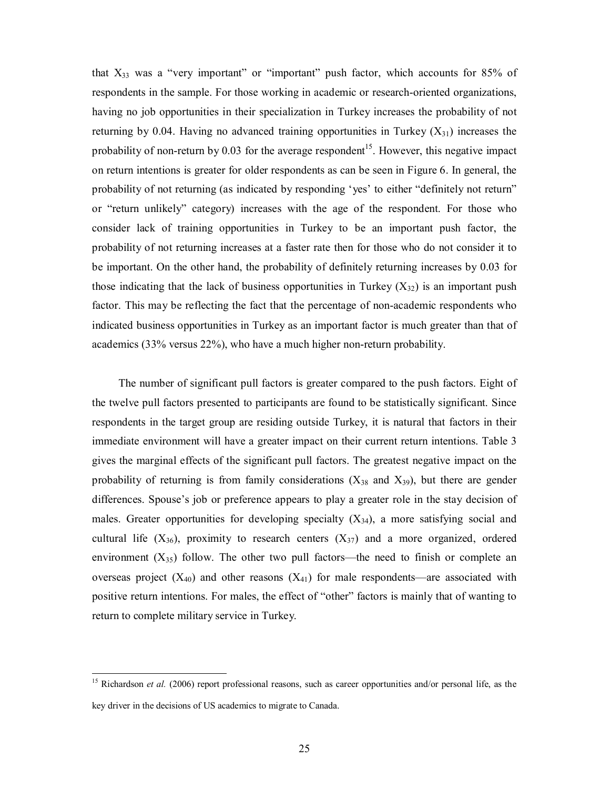that  $X_{33}$  was a "very important" or "important" push factor, which accounts for 85% of respondents in the sample. For those working in academic or research-oriented organizations, having no job opportunities in their specialization in Turkey increases the probability of not returning by 0.04. Having no advanced training opportunities in Turkey  $(X_{31})$  increases the probability of non-return by  $0.03$  for the average respondent<sup>15</sup>. However, this negative impact on return intentions is greater for older respondents as can be seen in Figure 6. In general, the probability of not returning (as indicated by responding 'yes' to either "definitely not return" or "return unlikely" category) increases with the age of the respondent. For those who consider lack of training opportunities in Turkey to be an important push factor, the probability of not returning increases at a faster rate then for those who do not consider it to be important. On the other hand, the probability of definitely returning increases by 0.03 for those indicating that the lack of business opportunities in Turkey  $(X_{32})$  is an important push factor. This may be reflecting the fact that the percentage of non-academic respondents who indicated business opportunities in Turkey as an important factor is much greater than that of academics (33% versus 22%), who have a much higher non-return probability.

The number of significant pull factors is greater compared to the push factors. Eight of the twelve pull factors presented to participants are found to be statistically significant. Since respondents in the target group are residing outside Turkey, it is natural that factors in their immediate environment will have a greater impact on their current return intentions. Table 3 gives the marginal effects of the significant pull factors. The greatest negative impact on the probability of returning is from family considerations  $(X_{38}$  and  $X_{39})$ , but there are gender differences. Spouse's job or preference appears to play a greater role in the stay decision of males. Greater opportunities for developing specialty  $(X_{34})$ , a more satisfying social and cultural life  $(X_{36})$ , proximity to research centers  $(X_{37})$  and a more organized, ordered environment  $(X_{35})$  follow. The other two pull factors—the need to finish or complete an overseas project  $(X_{40})$  and other reasons  $(X_{41})$  for male respondents—are associated with positive return intentions. For males, the effect of "other" factors is mainly that of wanting to return to complete military service in Turkey.

 $\overline{a}$ 

<sup>&</sup>lt;sup>15</sup> Richardson *et al.* (2006) report professional reasons, such as career opportunities and/or personal life, as the key driver in the decisions of US academics to migrate to Canada.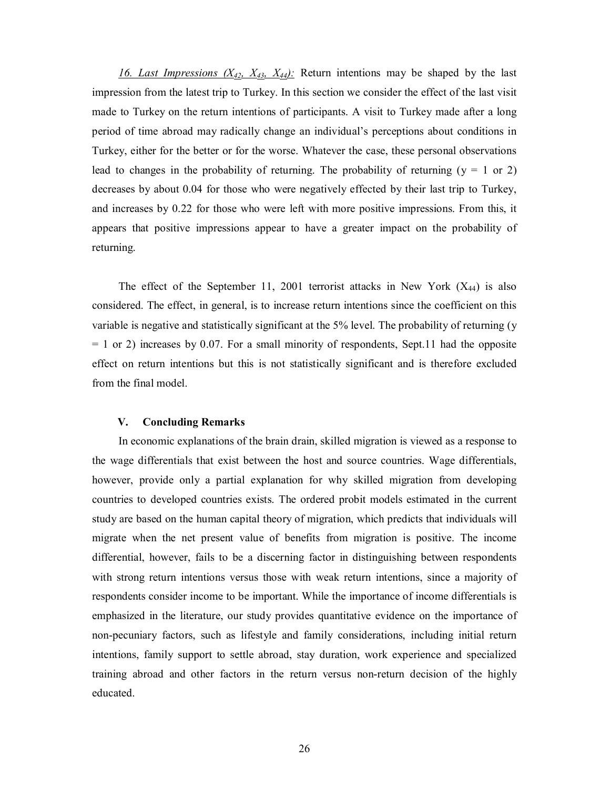*16. Last Impressions (X42, X43, X44):* Return intentions may be shaped by the last impression from the latest trip to Turkey. In this section we consider the effect of the last visit made to Turkey on the return intentions of participants. A visit to Turkey made after a long period of time abroad may radically change an individual's perceptions about conditions in Turkey, either for the better or for the worse. Whatever the case, these personal observations lead to changes in the probability of returning. The probability of returning ( $y = 1$  or 2) decreases by about 0.04 for those who were negatively effected by their last trip to Turkey, and increases by 0.22 for those who were left with more positive impressions. From this, it appears that positive impressions appear to have a greater impact on the probability of returning.

The effect of the September 11, 2001 terrorist attacks in New York  $(X_{44})$  is also considered. The effect, in general, is to increase return intentions since the coefficient on this variable is negative and statistically significant at the 5% level. The probability of returning (y  $= 1$  or 2) increases by 0.07. For a small minority of respondents, Sept.11 had the opposite effect on return intentions but this is not statistically significant and is therefore excluded from the final model.

#### **V. Concluding Remarks**

In economic explanations of the brain drain, skilled migration is viewed as a response to the wage differentials that exist between the host and source countries. Wage differentials, however, provide only a partial explanation for why skilled migration from developing countries to developed countries exists. The ordered probit models estimated in the current study are based on the human capital theory of migration, which predicts that individuals will migrate when the net present value of benefits from migration is positive. The income differential, however, fails to be a discerning factor in distinguishing between respondents with strong return intentions versus those with weak return intentions, since a majority of respondents consider income to be important. While the importance of income differentials is emphasized in the literature, our study provides quantitative evidence on the importance of non-pecuniary factors, such as lifestyle and family considerations, including initial return intentions, family support to settle abroad, stay duration, work experience and specialized training abroad and other factors in the return versus non-return decision of the highly educated.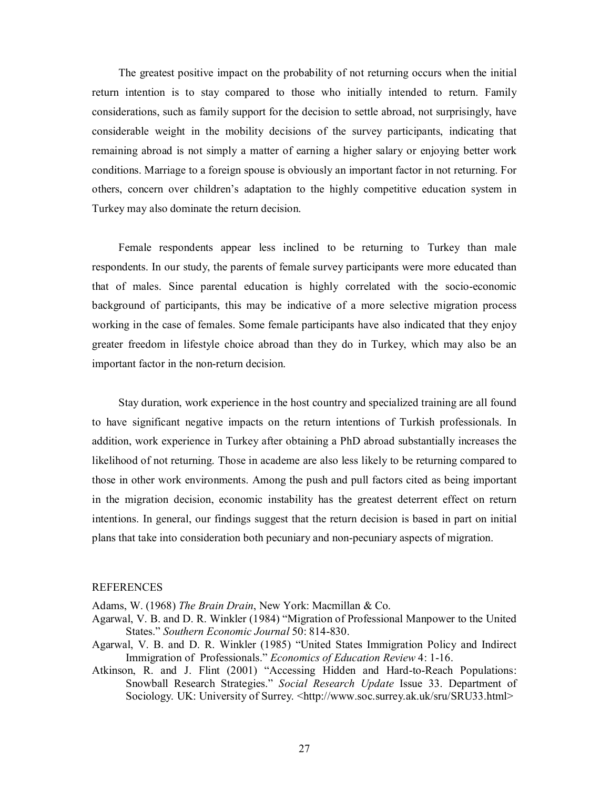The greatest positive impact on the probability of not returning occurs when the initial return intention is to stay compared to those who initially intended to return. Family considerations, such as family support for the decision to settle abroad, not surprisingly, have considerable weight in the mobility decisions of the survey participants, indicating that remaining abroad is not simply a matter of earning a higher salary or enjoying better work conditions. Marriage to a foreign spouse is obviously an important factor in not returning. For others, concern over children's adaptation to the highly competitive education system in Turkey may also dominate the return decision.

Female respondents appear less inclined to be returning to Turkey than male respondents. In our study, the parents of female survey participants were more educated than that of males. Since parental education is highly correlated with the socio-economic background of participants, this may be indicative of a more selective migration process working in the case of females. Some female participants have also indicated that they enjoy greater freedom in lifestyle choice abroad than they do in Turkey, which may also be an important factor in the non-return decision.

Stay duration, work experience in the host country and specialized training are all found to have significant negative impacts on the return intentions of Turkish professionals. In addition, work experience in Turkey after obtaining a PhD abroad substantially increases the likelihood of not returning. Those in academe are also less likely to be returning compared to those in other work environments. Among the push and pull factors cited as being important in the migration decision, economic instability has the greatest deterrent effect on return intentions. In general, our findings suggest that the return decision is based in part on initial plans that take into consideration both pecuniary and non-pecuniary aspects of migration.

#### REFERENCES

Adams, W. (1968) *The Brain Drain*, New York: Macmillan & Co.

- Agarwal, V. B. and D. R. Winkler (1984) "Migration of Professional Manpower to the United States." *Southern Economic Journal* 50: 814-830.
- Agarwal, V. B. and D. R. Winkler (1985) "United States Immigration Policy and Indirect Immigration of Professionals." *Economics of Education Review* 4: 1-16.
- Atkinson, R. and J. Flint (2001) "Accessing Hidden and Hard-to-Reach Populations: Snowball Research Strategies." *Social Research Update* Issue 33. Department of Sociology. UK: University of Surrey. <http://www.soc.surrey.ak.uk/sru/SRU33.html>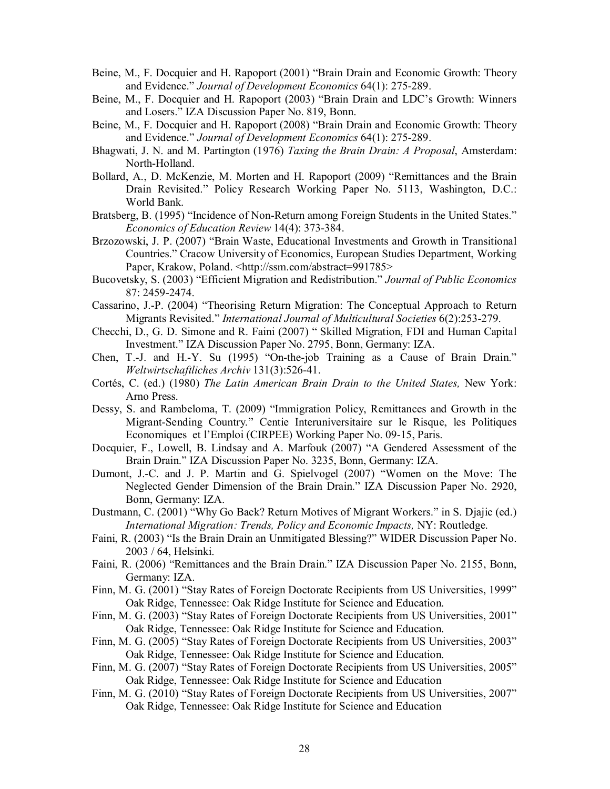- Beine, M., F. Docquier and H. Rapoport (2001) "Brain Drain and Economic Growth: Theory and Evidence." *Journal of Development Economics* 64(1): 275-289.
- Beine, M., F. Docquier and H. Rapoport (2003) "Brain Drain and LDC's Growth: Winners and Losers." IZA Discussion Paper No. 819, Bonn.
- Beine, M., F. Docquier and H. Rapoport (2008) "Brain Drain and Economic Growth: Theory and Evidence." *Journal of Development Economics* 64(1): 275-289.
- Bhagwati, J. N. and M. Partington (1976) *Taxing the Brain Drain: A Proposal*, Amsterdam: North-Holland.
- Bollard, A., D. McKenzie, M. Morten and H. Rapoport (2009) "Remittances and the Brain Drain Revisited." Policy Research Working Paper No. 5113, Washington, D.C.: World Bank.
- Bratsberg, B. (1995) "Incidence of Non-Return among Foreign Students in the United States." *Economics of Education Review* 14(4): 373-384.
- Brzozowski, J. P. (2007) "Brain Waste, Educational Investments and Growth in Transitional Countries." Cracow University of Economics, European Studies Department, Working Paper, Krakow, Poland. <http://ssm.com/abstract=991785>
- Bucovetsky, S. (2003) "Efficient Migration and Redistribution." *Journal of Public Economics* 87: 2459-2474.
- Cassarino, J.-P. (2004) "Theorising Return Migration: The Conceptual Approach to Return Migrants Revisited." *International Journal of Multicultural Societies* 6(2):253-279.
- Checchi, D., G. D. Simone and R. Faini (2007) " Skilled Migration, FDI and Human Capital Investment." IZA Discussion Paper No. 2795, Bonn, Germany: IZA.
- Chen, T.-J. and H.-Y. Su (1995) "On-the-job Training as a Cause of Brain Drain." *Weltwirtschaftliches Archiv* 131(3):526-41.
- Cortés, C. (ed.) (1980) *The Latin American Brain Drain to the United States,* New York: Arno Press.
- Dessy, S. and Rambeloma, T. (2009) "Immigration Policy, Remittances and Growth in the Migrant-Sending Country." Centie Interuniversitaire sur le Risque, les Politiques Economiques et l'Emploi (CIRPEE) Working Paper No. 09-15, Paris.
- Docquier, F., Lowell, B. Lindsay and A. Marfouk (2007) "A Gendered Assessment of the Brain Drain." IZA Discussion Paper No. 3235, Bonn, Germany: IZA.
- Dumont, J.-C. and J. P. Martin and G. Spielvogel (2007) "Women on the Move: The Neglected Gender Dimension of the Brain Drain." IZA Discussion Paper No. 2920, Bonn, Germany: IZA.
- Dustmann, C. (2001) "Why Go Back? Return Motives of Migrant Workers." in S. Djajic (ed.) *International Migration: Trends, Policy and Economic Impacts,* NY: Routledge.
- Faini, R. (2003) "Is the Brain Drain an Unmitigated Blessing?" WIDER Discussion Paper No. 2003 / 64, Helsinki.
- Faini, R. (2006) "Remittances and the Brain Drain." IZA Discussion Paper No. 2155, Bonn, Germany: IZA.
- Finn, M. G. (2001) "Stay Rates of Foreign Doctorate Recipients from US Universities, 1999" Oak Ridge, Tennessee: Oak Ridge Institute for Science and Education.
- Finn, M. G. (2003) "Stay Rates of Foreign Doctorate Recipients from US Universities, 2001" Oak Ridge, Tennessee: Oak Ridge Institute for Science and Education.
- Finn, M. G. (2005) "Stay Rates of Foreign Doctorate Recipients from US Universities, 2003" Oak Ridge, Tennessee: Oak Ridge Institute for Science and Education.
- Finn, M. G. (2007) "Stay Rates of Foreign Doctorate Recipients from US Universities, 2005" Oak Ridge, Tennessee: Oak Ridge Institute for Science and Education
- Finn, M. G. (2010) "Stay Rates of Foreign Doctorate Recipients from US Universities, 2007" Oak Ridge, Tennessee: Oak Ridge Institute for Science and Education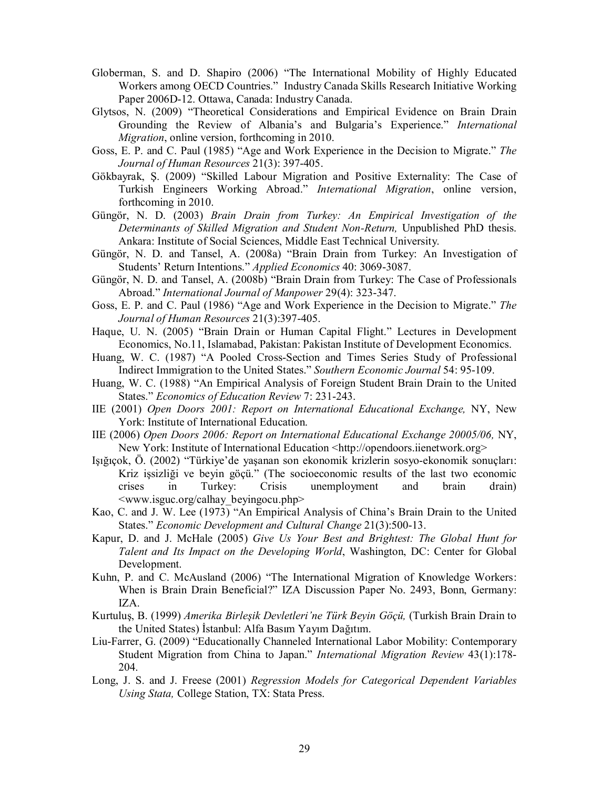- Globerman, S. and D. Shapiro (2006) "The International Mobility of Highly Educated Workers among OECD Countries." Industry Canada Skills Research Initiative Working Paper 2006D-12. Ottawa, Canada: Industry Canada.
- Glytsos, N. (2009) "Theoretical Considerations and Empirical Evidence on Brain Drain Grounding the Review of Albania's and Bulgaria's Experience." *International Migration*, online version, forthcoming in 2010.
- Goss, E. P. and C. Paul (1985) "Age and Work Experience in the Decision to Migrate." *The Journal of Human Resources* 21(3): 397-405.
- Gökbayrak, Ş. (2009) "Skilled Labour Migration and Positive Externality: The Case of Turkish Engineers Working Abroad." *International Migration*, online version, forthcoming in 2010.
- Güngör, N. D. (2003) *Brain Drain from Turkey: An Empirical Investigation of the Determinants of Skilled Migration and Student Non-Return,* Unpublished PhD thesis. Ankara: Institute of Social Sciences, Middle East Technical University.
- Güngör, N. D. and Tansel, A. (2008a) "Brain Drain from Turkey: An Investigation of Students' Return Intentions." *Applied Economics* 40: 3069-3087.
- Güngör, N. D. and Tansel, A. (2008b) "Brain Drain from Turkey: The Case of Professionals Abroad." *International Journal of Manpower* 29(4): 323-347.
- Goss, E. P. and C. Paul (1986) "Age and Work Experience in the Decision to Migrate." *The Journal of Human Resources* 21(3):397-405.
- Haque, U. N. (2005) "Brain Drain or Human Capital Flight." Lectures in Development Economics, No.11, Islamabad, Pakistan: Pakistan Institute of Development Economics.
- Huang, W. C. (1987) "A Pooled Cross-Section and Times Series Study of Professional Indirect Immigration to the United States." *Southern Economic Journal* 54: 95-109.
- Huang, W. C. (1988) "An Empirical Analysis of Foreign Student Brain Drain to the United States." *Economics of Education Review* 7: 231-243.
- IIE (2001) *Open Doors 2001: Report on International Educational Exchange,* NY, New York: Institute of International Education.
- IIE (2006) *Open Doors 2006: Report on International Educational Exchange 20005/06,* NY, New York: Institute of International Education <http://opendoors.iienetwork.org>
- Işığıçok, Ö. (2002) "Türkiye'de yaşanan son ekonomik krizlerin sosyo-ekonomik sonuçları: Kriz işsizliği ve beyin göçü." (The socioeconomic results of the last two economic crises in Turkey: Crisis unemployment and brain drain) <www.isguc.org/calhay\_beyingocu.php>
- Kao, C. and J. W. Lee (1973) "An Empirical Analysis of China's Brain Drain to the United States." *Economic Development and Cultural Change* 21(3):500-13.
- Kapur, D. and J. McHale (2005) *Give Us Your Best and Brightest: The Global Hunt for Talent and Its Impact on the Developing World*, Washington, DC: Center for Global Development.
- Kuhn, P. and C. McAusland (2006) "The International Migration of Knowledge Workers: When is Brain Drain Beneficial?" IZA Discussion Paper No. 2493, Bonn, Germany: IZA.
- Kurtuluş, B. (1999) *Amerika Birleşik Devletleri'ne Türk Beyin Göçü,* (Turkish Brain Drain to the United States) İstanbul: Alfa Basım Yayım Dağıtım.
- Liu-Farrer, G. (2009) "Educationally Channeled International Labor Mobility: Contemporary Student Migration from China to Japan." *International Migration Review* 43(1):178- 204.
- Long, J. S. and J. Freese (2001) *Regression Models for Categorical Dependent Variables Using Stata,* College Station, TX: Stata Press.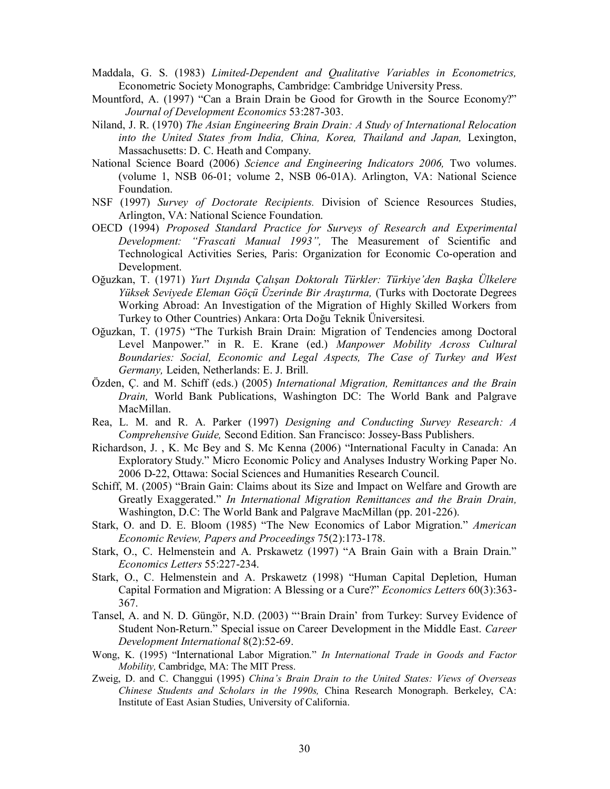- Maddala, G. S. (1983) *Limited-Dependent and Qualitative Variables in Econometrics,*  Econometric Society Monographs, Cambridge: Cambridge University Press.
- Mountford, A. (1997) "Can a Brain Drain be Good for Growth in the Source Economy?" *Journal of Development Economics* 53:287-303.
- Niland, J. R. (1970) *The Asian Engineering Brain Drain: A Study of International Relocation into the United States from India, China, Korea, Thailand and Japan,* Lexington, Massachusetts: D. C. Heath and Company.
- National Science Board (2006) *Science and Engineering Indicators 2006,* Two volumes. (volume 1, NSB 06-01; volume 2, NSB 06-01A). Arlington, VA: National Science Foundation.
- NSF (1997) *Survey of Doctorate Recipients.* Division of Science Resources Studies, Arlington, VA: National Science Foundation.
- OECD (1994) *Proposed Standard Practice for Surveys of Research and Experimental Development: "Frascati Manual 1993",* The Measurement of Scientific and Technological Activities Series, Paris: Organization for Economic Co-operation and Development.
- Oğuzkan, T. (1971) *Yurt Dışında Çalışan Doktoralı Türkler: Türkiye'den Başka Ülkelere Yüksek Seviyede Eleman Göçü Üzerinde Bir Araştırma,* (Turks with Doctorate Degrees Working Abroad: An Investigation of the Migration of Highly Skilled Workers from Turkey to Other Countries) Ankara: Orta Doğu Teknik Üniversitesi.
- Oğuzkan, T. (1975) "The Turkish Brain Drain: Migration of Tendencies among Doctoral Level Manpower." in R. E. Krane (ed.) *Manpower Mobility Across Cultural Boundaries: Social, Economic and Legal Aspects, The Case of Turkey and West Germany,* Leiden, Netherlands: E. J. Brill.
- Özden, Ç. and M. Schiff (eds.) (2005) *International Migration, Remittances and the Brain Drain,* World Bank Publications, Washington DC: The World Bank and Palgrave MacMillan.
- Rea, L. M. and R. A. Parker (1997) *Designing and Conducting Survey Research: A Comprehensive Guide,* Second Edition. San Francisco: Jossey-Bass Publishers.
- Richardson, J. , K. Mc Bey and S. Mc Kenna (2006) "International Faculty in Canada: An Exploratory Study." Micro Economic Policy and Analyses Industry Working Paper No. 2006 D-22, Ottawa: Social Sciences and Humanities Research Council.
- Schiff, M. (2005) "Brain Gain: Claims about its Size and Impact on Welfare and Growth are Greatly Exaggerated." *In International Migration Remittances and the Brain Drain,* Washington, D.C: The World Bank and Palgrave MacMillan (pp. 201-226).
- Stark, O. and D. E. Bloom (1985) "The New Economics of Labor Migration." *American Economic Review, Papers and Proceedings* 75(2):173-178.
- Stark, O., C. Helmenstein and A. Prskawetz (1997) "A Brain Gain with a Brain Drain." *Economics Letters* 55:227-234.
- Stark, O., C. Helmenstein and A. Prskawetz (1998) "Human Capital Depletion, Human Capital Formation and Migration: A Blessing or a Cure?" *Economics Letters* 60(3):363- 367.
- Tansel, A. and N. D. Güngör, N.D. (2003) "'Brain Drain' from Turkey: Survey Evidence of Student Non-Return." Special issue on Career Development in the Middle East. *Career Development International* 8(2):52-69.
- Wong, K. (1995) "International Labor Migration." *In International Trade in Goods and Factor Mobility,* Cambridge, MA: The MIT Press.
- Zweig, D. and C. Changgui (1995) *China's Brain Drain to the United States: Views of Overseas Chinese Students and Scholars in the 1990s,* China Research Monograph. Berkeley, CA: Institute of East Asian Studies, University of California.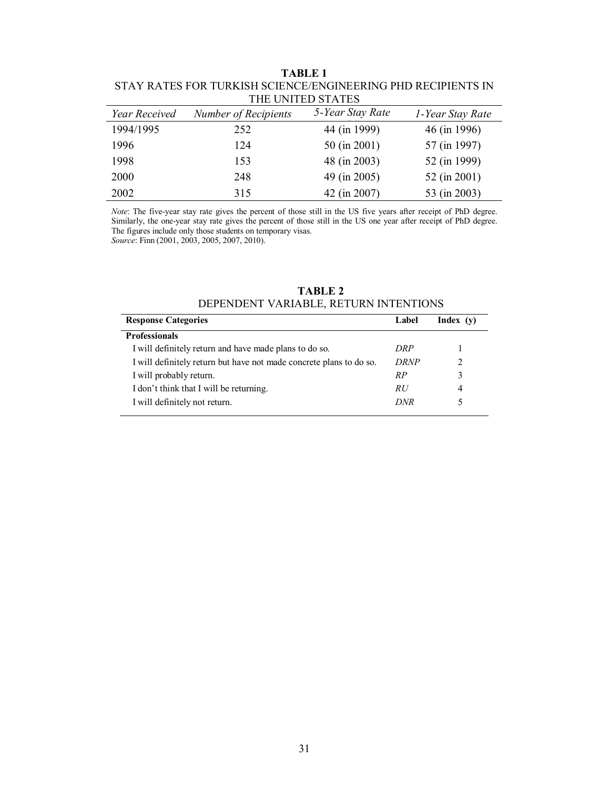| THE UNITED STATES |                      |                  |                  |  |  |  |  |
|-------------------|----------------------|------------------|------------------|--|--|--|--|
| Year Received     | Number of Recipients | 5-Year Stay Rate | 1-Year Stay Rate |  |  |  |  |
| 1994/1995         | 252                  | 44 (in 1999)     | 46 (in 1996)     |  |  |  |  |
| 1996              | 124                  | 50 (in 2001)     | 57 (in 1997)     |  |  |  |  |
| 1998              | 153                  | 48 (in 2003)     | 52 (in 1999)     |  |  |  |  |
| 2000              | 248                  | 49 (in 2005)     | 52 (in 2001)     |  |  |  |  |
| 2002              | 315                  | 42 (in 2007)     | 53 (in 2003)     |  |  |  |  |

**TABLE 1**  STAY RATES FOR TURKISH SCIENCE/ENGINEERING PHD RECIPIENTS IN

*Note*: The five-year stay rate gives the percent of those still in the US five years after receipt of PhD degree. Similarly, the one-year stay rate gives the percent of those still in the US one year after receipt of PhD degree. The figures include only those students on temporary visas. *Source*: Finn (2001, 2003, 2005, 2007, 2010).

| <b>TABLE 2</b>                        |  |  |  |  |  |
|---------------------------------------|--|--|--|--|--|
| DEPENDENT VARIABLE, RETURN INTENTIONS |  |  |  |  |  |

| <b>Response Categories</b>                                          | Label       | Index(y)                    |
|---------------------------------------------------------------------|-------------|-----------------------------|
| <b>Professionals</b>                                                |             |                             |
| I will definitely return and have made plans to do so.              | DRP         |                             |
| I will definitely return but have not made concrete plans to do so. | <b>DRNP</b> | $\mathcal{D}_{\mathcal{A}}$ |
| I will probably return.                                             | R P         | 3                           |
| I don't think that I will be returning.                             | RU          | 4                           |
| I will definitely not return.                                       | DNR         |                             |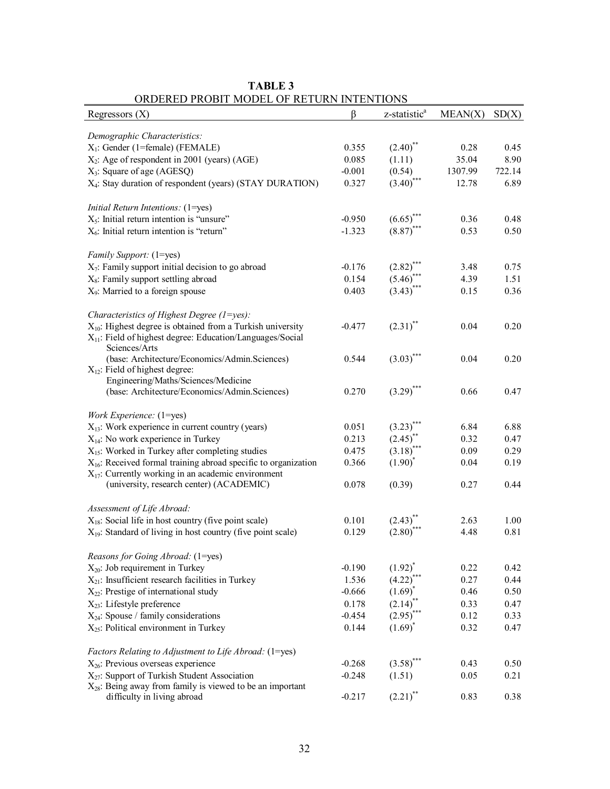| Regressors $(X)$                                                                | β        | z-statistic <sup>a</sup>               | MEAN(X)      | SD(X)  |
|---------------------------------------------------------------------------------|----------|----------------------------------------|--------------|--------|
| Demographic Characteristics:                                                    |          |                                        |              |        |
| $X_1$ : Gender (1=female) (FEMALE)                                              | 0.355    | $(2.40)$ **                            | 0.28         | 0.45   |
| $X_2$ : Age of respondent in 2001 (years) (AGE)                                 | 0.085    | (1.11)                                 | 35.04        | 8.90   |
| $X_3$ : Square of age (AGESQ)                                                   | $-0.001$ | (0.54)                                 | 1307.99      | 722.14 |
| X <sub>4</sub> : Stay duration of respondent (years) (STAY DURATION)            | 0.327    | $(3.40)$ ***                           | 12.78        | 6.89   |
|                                                                                 |          |                                        |              |        |
| Initial Return Intentions: (1=yes)                                              |          |                                        |              |        |
| $X_5$ : Initial return intention is "unsure"                                    | $-0.950$ | $(6.65)^{4}$                           | 0.36         | 0.48   |
| $X_6$ : Initial return intention is "return"                                    | $-1.323$ | $(8.87)$ ***                           | 0.53         | 0.50   |
|                                                                                 |          |                                        |              |        |
| Family Support: (1=yes)<br>$X_7$ : Family support initial decision to go abroad | $-0.176$ |                                        |              | 0.75   |
| X <sub>8</sub> : Family support settling abroad                                 | 0.154    | $(2.82)$ <sup>***</sup><br>$(5.46)$ ** | 3.48<br>4.39 | 1.51   |
|                                                                                 | 0.403    | $(3.43)$ ***                           |              |        |
| X <sub>9</sub> : Married to a foreign spouse                                    |          |                                        | 0.15         | 0.36   |
| Characteristics of Highest Degree $(1 = yes)$ :                                 |          |                                        |              |        |
| $X_{10}$ : Highest degree is obtained from a Turkish university                 | $-0.477$ | $(2.31)$ **                            | 0.04         | 0.20   |
| $X_{11}$ : Field of highest degree: Education/Languages/Social                  |          |                                        |              |        |
| Sciences/Arts                                                                   |          |                                        |              |        |
| (base: Architecture/Economics/Admin.Sciences)                                   | 0.544    | $(3.03)$ ***                           | 0.04         | 0.20   |
| $X_{12}$ : Field of highest degree:                                             |          |                                        |              |        |
| Engineering/Maths/Sciences/Medicine                                             |          |                                        |              |        |
| (base: Architecture/Economics/Admin.Sciences)                                   | 0.270    | $(3.29)$ ***                           | 0.66         | 0.47   |
| Work Experience: (1=yes)                                                        |          |                                        |              |        |
| $X_{13}$ : Work experience in current country (years)                           | 0.051    | $(3.23)$ <sup>**</sup>                 | 6.84         | 6.88   |
| $X_{14}$ : No work experience in Turkey                                         | 0.213    | $(2.45)$ **                            | 0.32         | 0.47   |
| $X_{15}$ : Worked in Turkey after completing studies                            | 0.475    | $(3.18)$ <sup>*</sup>                  | 0.09         | 0.29   |
| $X_{16}$ : Received formal training abroad specific to organization             | 0.366    | $(1.90)^*$                             | 0.04         | 0.19   |
| $X_{17}$ : Currently working in an academic environment                         |          |                                        |              |        |
| (university, research center) (ACADEMIC)                                        | 0.078    | (0.39)                                 | 0.27         | 0.44   |
| Assessment of Life Abroad:                                                      |          |                                        |              |        |
| $X_{18}$ : Social life in host country (five point scale)                       | 0.101    | $(2.43)^{n}$                           | 2.63         | 1.00   |
| $X_{19}$ : Standard of living in host country (five point scale)                | 0.129    | (2.80)                                 | 4.48         | 0.81   |
|                                                                                 |          |                                        |              |        |
| Reasons for Going Abroad: (1=yes)                                               |          |                                        |              |        |
| $X_{20}$ : Job requirement in Turkey                                            | $-0.190$ | $(1.92)^{*}$                           | 0.22         | 0.42   |
| $X_{21}$ : Insufficient research facilities in Turkey                           | 1.536    | $(4.22)^{**}$                          | 0.27         | 0.44   |
| $X_{22}$ : Prestige of international study                                      | $-0.666$ | $(1.69)^{*}$                           | 0.46         | 0.50   |
| $X_{23}$ : Lifestyle preference                                                 | 0.178    | $(2.14)$ **                            | 0.33         | 0.47   |
| $X_{24}$ : Spouse / family considerations                                       | $-0.454$ | $(2.95)$ **                            | 0.12         | 0.33   |
| $X_{25}$ : Political environment in Turkey                                      | 0.144    | $(1.69)^{*}$                           | 0.32         | 0.47   |
| Factors Relating to Adjustment to Life Abroad: (1=yes)                          |          |                                        |              |        |
| $X_{26}$ : Previous overseas experience                                         | $-0.268$ | $(3.58)$ <sup>***</sup>                | 0.43         | 0.50   |
| X <sub>27</sub> : Support of Turkish Student Association                        | $-0.248$ | (1.51)                                 | 0.05         | 0.21   |
| $X_{28}$ : Being away from family is viewed to be an important                  |          |                                        |              |        |
| difficulty in living abroad                                                     | $-0.217$ | $(2.21)$ <sup>**</sup>                 | 0.83         | 0.38   |

**TABLE 3**  ORDERED PROBIT MODEL OF RETURN INTENTIONS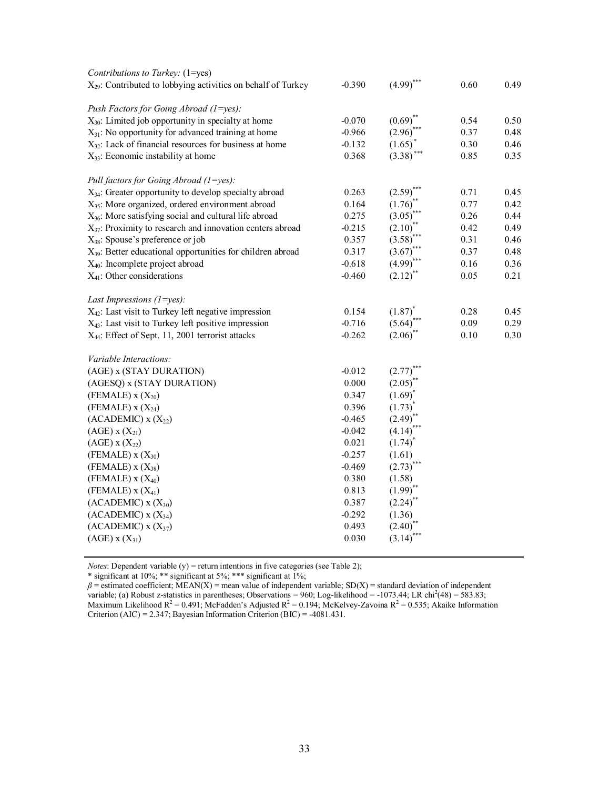| Contributions to Turkey: (1=yes)                                       |          |                        |      |      |
|------------------------------------------------------------------------|----------|------------------------|------|------|
| $X_{29}$ : Contributed to lobbying activities on behalf of Turkey      | $-0.390$ | $(4.99)$ ***           | 0.60 | 0.49 |
| Push Factors for Going Abroad (1=yes):                                 |          |                        |      |      |
| $X_{30}$ : Limited job opportunity in specialty at home                | $-0.070$ | $(0.69)^*$             | 0.54 | 0.50 |
| $X_{31}$ : No opportunity for advanced training at home                | $-0.966$ | (2.96)                 | 0.37 | 0.48 |
| $X_{32}$ : Lack of financial resources for business at home            | $-0.132$ | (1.65)                 | 0.30 | 0.46 |
| $X_{33}$ : Economic instability at home                                | 0.368    | (3.38)                 | 0.85 | 0.35 |
| Pull factors for Going Abroad (1=yes):                                 |          |                        |      |      |
| X <sub>34</sub> : Greater opportunity to develop specialty abroad      | 0.263    | $(2.59)$ <sup>*</sup>  | 0.71 | 0.45 |
| X <sub>35</sub> : More organized, ordered environment abroad           | 0.164    | (1.76)                 | 0.77 | 0.42 |
| $X_{36}$ : More satisfying social and cultural life abroad             | 0.275    | (3.05)                 | 0.26 | 0.44 |
| $X_{37}$ : Proximity to research and innovation centers abroad         | $-0.215$ | $(2.10)^{*}$           | 0.42 | 0.49 |
| $X_{38}$ : Spouse's preference or job                                  | 0.357    | $(3.58)^{*}$           | 0.31 | 0.46 |
| X <sub>39</sub> : Better educational opportunities for children abroad | 0.317    | $(3.67)^{*}$           | 0.37 | 0.48 |
| X <sub>40</sub> : Incomplete project abroad                            | $-0.618$ | $(4.99)$ ***           | 0.16 | 0.36 |
| $X_{41}$ : Other considerations                                        | $-0.460$ | $(2.12)$ <sup>**</sup> | 0.05 | 0.21 |
| Last Impressions $(1=yes)$ :                                           |          |                        |      |      |
| X <sub>42</sub> : Last visit to Turkey left negative impression        | 0.154    | $(1.87)^*$             | 0.28 | 0.45 |
| $X_{43}$ : Last visit to Turkey left positive impression               | $-0.716$ | $(5.64)$ **            | 0.09 | 0.29 |
| X <sub>44</sub> : Effect of Sept. 11, 2001 terrorist attacks           | $-0.262$ | $(2.06)$ **            | 0.10 | 0.30 |
| Variable Interactions:                                                 |          |                        |      |      |
| (AGE) x (STAY DURATION)                                                | $-0.012$ | (2.77)                 |      |      |
| (AGESQ) x (STAY DURATION)                                              | 0.000    | $(2.05)^{*}$           |      |      |
| $(FEMALE)$ x $(X_{20})$                                                | 0.347    | $(1.69)^*$             |      |      |
| (FEMALE) $X(X_{24})$                                                   | 0.396    | $(1.73)^{*}$           |      |      |
| $(ACADEMIC)$ x $(X_{22})$                                              | $-0.465$ | $(2.49)^{^*}$          |      |      |
| $(AGE)$ x $(X_{21})$                                                   | $-0.042$ | (4.14)                 |      |      |
| $(AGE)$ x $(X_{22})$                                                   | 0.021    | $(1.74)^*$             |      |      |
| $(FEMALE)$ x $(X_{30})$                                                | $-0.257$ | (1.61)                 |      |      |
| $(FEMALE)$ x $(X_{38})$                                                | $-0.469$ | $(2.73)^{*}$           |      |      |
| $(FEMALE)$ x $(X_{40})$                                                | 0.380    | (1.58)                 |      |      |
| $(FEMALE)$ x $(X_{41})$                                                | 0.813    | $(1.99)^{**}$          |      |      |
| $(ACADEMIC)$ x $(X_{30})$                                              | 0.387    | (2.24)                 |      |      |
| $(ACADEMIC)$ x $(X_{34})$                                              | $-0.292$ | (1.36)                 |      |      |
| $(ACADEMIC)$ x $(X_{37})$                                              | 0.493    | (2.40)                 |      |      |
| $(AGE)$ x $(X_{31})$                                                   | 0.030    | (3.14)                 |      |      |
|                                                                        |          |                        |      |      |

*Notes*: Dependent variable (y) = return intentions in five categories (see Table 2);

\* significant at 10%; \*\* significant at 5%; \*\*\* significant at 1%;

 $\beta$  = estimated coefficient; MEAN(X) = mean value of independent variable; SD(X) = standard deviation of independent variable; (a) Robust z-statistics in parentheses; Observations =  $960$ ; Log-likelihood =  $-1073.44$ ; LR chi<sup>2</sup>(48) =  $583.83$ ; Maximum Likelihood  $R^2 = 0.491$ ; McFadden's Adjusted  $R^2 = 0.194$ ; McKelvey-Zavoina  $R^2 = 0.535$ ; Akaike Information Criterion (AIC) = 2.347; Bayesian Information Criterion (BIC) = -4081.431.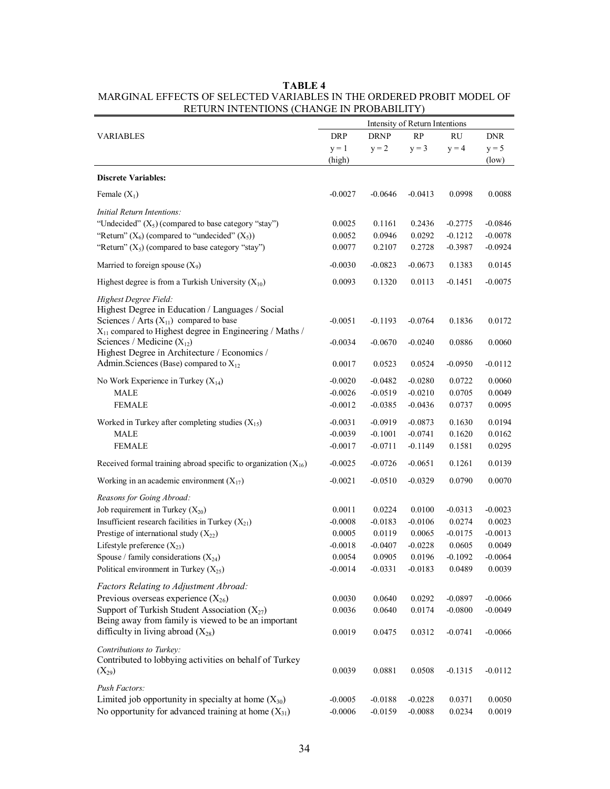|                                                                                                                                                       | Intensity of Return Intentions |             |           |           |            |
|-------------------------------------------------------------------------------------------------------------------------------------------------------|--------------------------------|-------------|-----------|-----------|------------|
| <b>VARIABLES</b>                                                                                                                                      | <b>DRP</b>                     | <b>DRNP</b> | RP        | <b>RU</b> | <b>DNR</b> |
|                                                                                                                                                       | $y = 1$                        | $y = 2$     | $y = 3$   | $y = 4$   | $y = 5$    |
|                                                                                                                                                       | (high)                         |             |           |           | (low)      |
| <b>Discrete Variables:</b>                                                                                                                            |                                |             |           |           |            |
| Female $(X_1)$                                                                                                                                        | $-0.0027$                      | $-0.0646$   | $-0.0413$ | 0.0998    | 0.0088     |
| Initial Return Intentions:                                                                                                                            |                                |             |           |           |            |
| "Undecided" $(X_5)$ (compared to base category "stay")                                                                                                | 0.0025                         | 0.1161      | 0.2436    | $-0.2775$ | $-0.0846$  |
| "Return" $(X_6)$ (compared to "undecided" $(X_5)$ )                                                                                                   | 0.0052                         | 0.0946      | 0.0292    | $-0.1212$ | $-0.0078$  |
| "Return" $(X_5)$ (compared to base category "stay")                                                                                                   | 0.0077                         | 0.2107      | 0.2728    | $-0.3987$ | $-0.0924$  |
| Married to foreign spouse $(X_9)$                                                                                                                     | $-0.0030$                      | $-0.0823$   | $-0.0673$ | 0.1383    | 0.0145     |
| Highest degree is from a Turkish University $(X_{10})$                                                                                                | 0.0093                         | 0.1320      | 0.0113    | $-0.1451$ | $-0.0075$  |
| Highest Degree Field:<br>Highest Degree in Education / Languages / Social<br>Sciences / Arts $(X_{11})$ compared to base                              | $-0.0051$                      | $-0.1193$   | $-0.0764$ | 0.1836    | 0.0172     |
| X <sub>11</sub> compared to Highest degree in Engineering / Maths /<br>Sciences / Medicine $(X_{12})$<br>Highest Degree in Architecture / Economics / | $-0.0034$                      | $-0.0670$   | $-0.0240$ | 0.0886    | 0.0060     |
| Admin. Sciences (Base) compared to $X_{12}$                                                                                                           | 0.0017                         | 0.0523      | 0.0524    | $-0.0950$ | $-0.0112$  |
| No Work Experience in Turkey $(X_{14})$                                                                                                               | $-0.0020$                      | $-0.0482$   | $-0.0280$ | 0.0722    | 0.0060     |
| <b>MALE</b>                                                                                                                                           | $-0.0026$                      | $-0.0519$   | $-0.0210$ | 0.0705    | 0.0049     |
| <b>FEMALE</b>                                                                                                                                         | $-0.0012$                      | $-0.0385$   | $-0.0436$ | 0.0737    | 0.0095     |
| Worked in Turkey after completing studies $(X_{15})$                                                                                                  | $-0.0031$                      | $-0.0919$   | $-0.0873$ | 0.1630    | 0.0194     |
| <b>MALE</b>                                                                                                                                           | $-0.0039$                      | $-0.1001$   | $-0.0741$ | 0.1620    | 0.0162     |
| <b>FEMALE</b>                                                                                                                                         | $-0.0017$                      | $-0.0711$   | $-0.1149$ | 0.1581    | 0.0295     |
| Received formal training abroad specific to organization $(X_{16})$                                                                                   | $-0.0025$                      | $-0.0726$   | $-0.0651$ | 0.1261    | 0.0139     |
| Working in an academic environment $(X_{17})$                                                                                                         | $-0.0021$                      | $-0.0510$   | $-0.0329$ | 0.0790    | 0.0070     |
| Reasons for Going Abroad:                                                                                                                             |                                |             |           |           |            |
| Job requirement in Turkey $(X_{20})$                                                                                                                  | 0.0011                         | 0.0224      | 0.0100    | $-0.0313$ | $-0.0023$  |
| Insufficient research facilities in Turkey $(X_{21})$                                                                                                 | $-0.0008$                      | $-0.0183$   | $-0.0106$ | 0.0274    | 0.0023     |
| Prestige of international study $(X_{22})$                                                                                                            | 0.0005                         | 0.0119      | 0.0065    | $-0.0175$ | $-0.0013$  |
| Lifestyle preference $(X_{23})$                                                                                                                       | $-0.0018$                      | $-0.0407$   | $-0.0228$ | 0.0605    | 0.0049     |
| Spouse / family considerations $(X_{24})$                                                                                                             | 0.0054                         | 0.0905      | 0.0196    | $-0.1092$ | $-0.0064$  |
| Political environment in Turkey $(X_{25})$                                                                                                            | $-0.0014$                      | $-0.0331$   | $-0.0183$ | 0.0489    | 0.0039     |
| Factors Relating to Adjustment Abroad:                                                                                                                |                                |             |           |           |            |
| Previous overseas experience $(X_{26})$                                                                                                               | 0.0030                         | 0.0640      | 0.0292    | $-0.0897$ | $-0.0066$  |
| Support of Turkish Student Association $(X_{27})$                                                                                                     | 0.0036                         | 0.0640      | 0.0174    | $-0.0800$ | $-0.0049$  |
| Being away from family is viewed to be an important<br>difficulty in living abroad $(X_{28})$                                                         | 0.0019                         | 0.0475      | 0.0312    | $-0.0741$ | $-0.0066$  |
| Contributions to Turkey:<br>Contributed to lobbying activities on behalf of Turkey<br>$(X_{29})$                                                      | 0.0039                         | 0.0881      | 0.0508    | $-0.1315$ | $-0.0112$  |
| Push Factors:                                                                                                                                         |                                |             |           |           |            |
| Limited job opportunity in specialty at home $(X_{30})$                                                                                               | $-0.0005$                      | $-0.0188$   | $-0.0228$ | 0.0371    | 0.0050     |
| No opportunity for advanced training at home $(X_{31})$                                                                                               | $-0.0006$                      | $-0.0159$   | $-0.0088$ | 0.0234    | 0.0019     |

#### **TABLE 4**  MARGINAL EFFECTS OF SELECTED VARIABLES IN THE ORDERED PROBIT MODEL OF RETURN INTENTIONS (CHANGE IN PROBABILITY)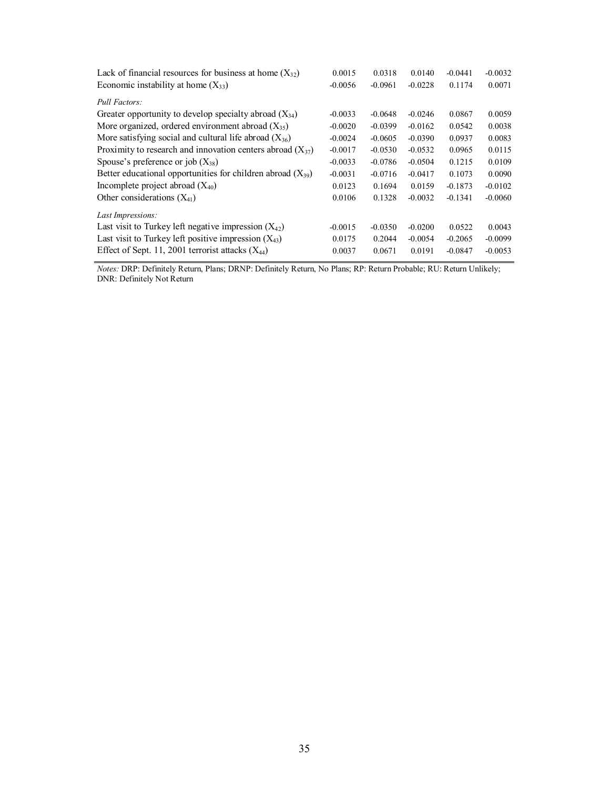| Lack of financial resources for business at home $(X_{32})$     | 0.0015    | 0.0318    | 0.0140    | $-0.0441$ | $-0.0032$ |
|-----------------------------------------------------------------|-----------|-----------|-----------|-----------|-----------|
| Economic instability at home $(X_{33})$                         | $-0.0056$ | $-0.0961$ | $-0.0228$ | 0.1174    | 0.0071    |
| Pull Factors:                                                   |           |           |           |           |           |
| Greater opportunity to develop specialty abroad $(X_{34})$      | $-0.0033$ | $-0.0648$ | $-0.0246$ | 0.0867    | 0.0059    |
| More organized, ordered environment abroad $(X_{35})$           | $-0.0020$ | $-0.0399$ | $-0.0162$ | 0.0542    | 0.0038    |
| More satisfying social and cultural life abroad $(X_{36})$      | $-0.0024$ | $-0.0605$ | $-0.0390$ | 0.0937    | 0.0083    |
| Proximity to research and innovation centers abroad $(X_{37})$  | $-0.0017$ | $-0.0530$ | $-0.0532$ | 0.0965    | 0.0115    |
| Spouse's preference or job $(X_{38})$                           | $-0.0033$ | $-0.0786$ | $-0.0504$ | 0.1215    | 0.0109    |
| Better educational opportunities for children abroad $(X_{39})$ | $-0.0031$ | $-0.0716$ | $-0.0417$ | 0.1073    | 0.0090    |
| Incomplete project abroad $(X_{40})$                            | 0.0123    | 0.1694    | 0.0159    | $-0.1873$ | $-0.0102$ |
| Other considerations $(X_{41})$                                 | 0.0106    | 0.1328    | $-0.0032$ | $-0.1341$ | $-0.0060$ |
| Last Impressions:                                               |           |           |           |           |           |
| Last visit to Turkey left negative impression $(X_{42})$        | $-0.0015$ | $-0.0350$ | $-0.0200$ | 0.0522    | 0.0043    |
| Last visit to Turkey left positive impression $(X_{43})$        | 0.0175    | 0.2044    | $-0.0054$ | $-0.2065$ | $-0.0099$ |
| Effect of Sept. 11, 2001 terrorist attacks $(X_{44})$           | 0.0037    | 0.0671    | 0.0191    | $-0.0847$ | $-0.0053$ |

*Notes:* DRP: Definitely Return, Plans; DRNP: Definitely Return, No Plans; RP: Return Probable; RU: Return Unlikely; DNR: Definitely Not Return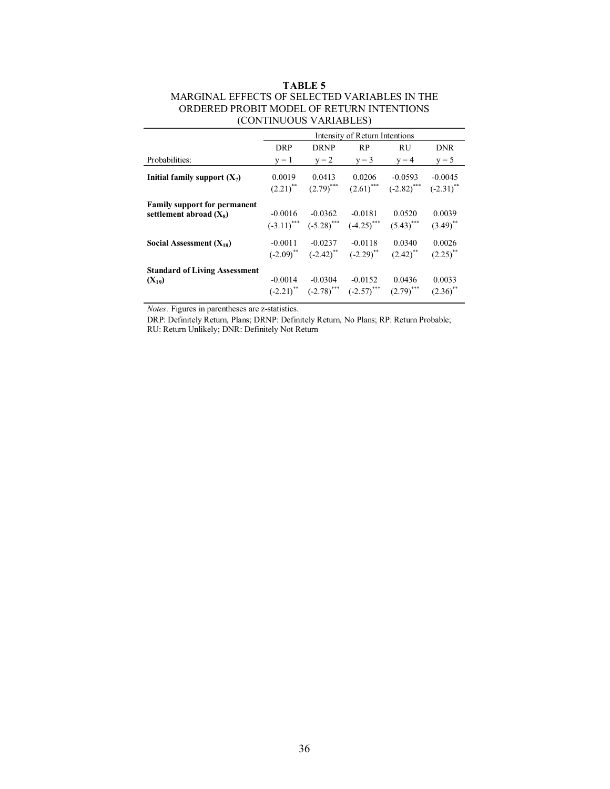#### **TABLE 5**  MARGINAL EFFECTS OF SELECTED VARIABLES IN THE ORDERED PROBIT MODEL OF RETURN INTENTIONS (CONTINUOUS VARIABLES)

|                                                                  | Intensity of Return Intentions |                                                          |                                                                                        |                                                               |                                  |  |
|------------------------------------------------------------------|--------------------------------|----------------------------------------------------------|----------------------------------------------------------------------------------------|---------------------------------------------------------------|----------------------------------|--|
|                                                                  | <b>DRP</b>                     | <b>DRNP</b>                                              | RP                                                                                     | <b>RU</b>                                                     | <b>DNR</b>                       |  |
| Probabilities:                                                   | $v = 1$                        | $y = 2$                                                  | $v = 3$                                                                                | $y = 4$                                                       | $y = 5$                          |  |
| Initial family support $(X_7)$                                   | 0.0019                         | 0.0413<br>$(2.21)$ <sup>**</sup> $(2.79)$ <sup>***</sup> | 0.0206                                                                                 | $-0.0593$<br>$(2.61)$ <sup>***</sup> $(-2.82)$ <sup>***</sup> | $-0.0045$<br>$(-2.31)$ **        |  |
| <b>Family support for permanent</b><br>settlement abroad $(X_8)$ | $-0.0016$                      | $-0.0362$<br>$(-3.11)$ *** $(-5.28)$ ***                 | $-0.0181$<br>$(-4.25)$ <sup>***</sup>                                                  | 0.0520<br>$(5.43)$ <sup>***</sup>                             | 0.0039<br>$(3.49)$ <sup>**</sup> |  |
| Social Assessment $(X_{18})$                                     | $-0.0011$                      | $-0.0237$                                                | $-0.0118$<br>$(-2.09)$ <sup>**</sup> $(-2.42)$ <sup>**</sup> $(-2.29)$ <sup>**</sup>   | 0.0340<br>$(2.42)$ <sup>**</sup>                              | 0.0026<br>$(2.25)$ **            |  |
| <b>Standard of Living Assessment</b><br>$(X_{19})$               | $-0.0014$                      | $-0.0304$                                                | $-0.0152$<br>$(-2.21)$ <sup>**</sup> $(-2.78)$ <sup>***</sup> $(-2.57)$ <sup>***</sup> | 0.0436<br>$(2.79)$ <sup>***</sup>                             | 0.0033<br>$(2.36)$ <sup>**</sup> |  |

*Notes:* Figures in parentheses are z-statistics.

DRP: Definitely Return, Plans; DRNP: Definitely Return, No Plans; RP: Return Probable; RU: Return Unlikely; DNR: Definitely Not Return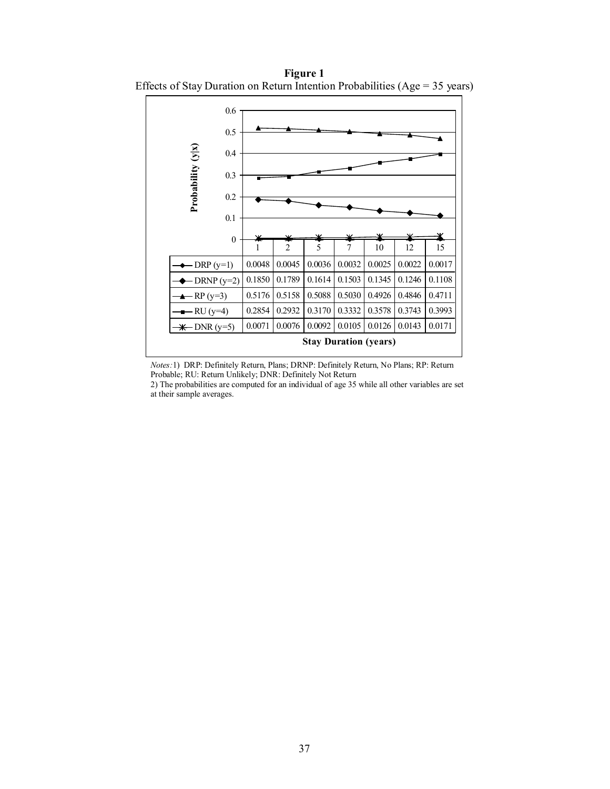0.6 0.5 Probability (y|x) **Probability (y|x)** 0.4 0.3 0.2 0.1 0

**Figure 1**  Effects of Stay Duration on Return Intention Probabilities (Age = 35 years)

*Notes:*1)DRP: Definitely Return, Plans; DRNP: Definitely Return, No Plans; RP: Return Probable; RU: Return Unlikely; DNR: Definitely Not Return

 $-DRP (y=1) \left(0.0048 \mid 0.0045 \mid 0.0036 \mid 0.0032 \mid 0.0025 \mid 0.0022 \mid 0.0017\right)$  $\text{DRNP (y=2)} \, \big| \, 0.1850 \, \big| \, 0.1789 \, \big| \, 0.1614 \, \big| \, 0.1503 \, \big| \, 0.1345 \, \big| \, 0.1246 \, \big| \, 0.1108$  $-RP (y=3)$   $\big| 0.5176 \big| 0.5158 \big| 0.5088 \big| 0.5030 \big| 0.4926 \big| 0.4846 \big| 0.4711$ RU (y=4)  $\mid$  0.2854  $\mid$  0.2932  $\mid$  0.3170  $\mid$  0.3332  $\mid$  0.3578  $\mid$  0.3743  $\mid$  0.3993  $-DNR (y=5) | 0.0071 | 0.0076 | 0.0092 | 0.0105 | 0.0126 | 0.0143 | 0.0171$ 

**Stay Duration (years)**

1 2 5 7 10 12 15

2) The probabilities are computed for an individual of age 35 while all other variables are set at their sample averages.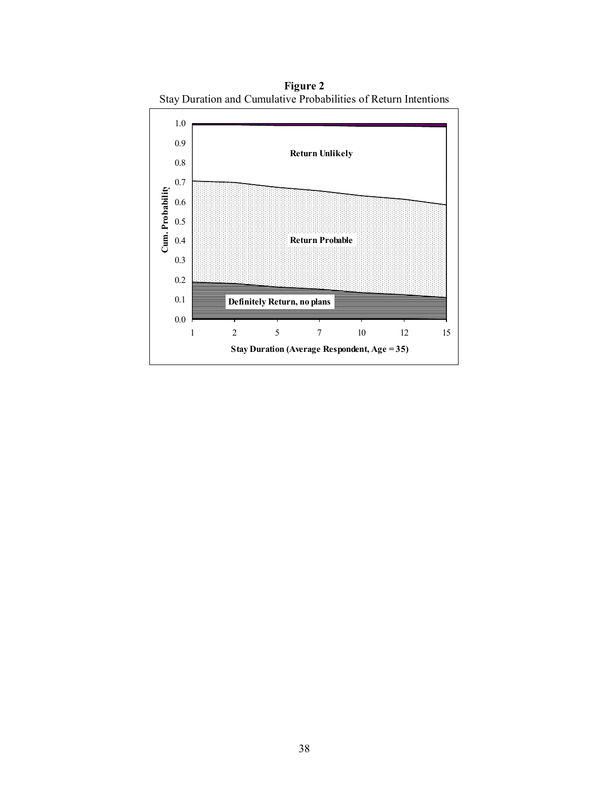

**Figure 2**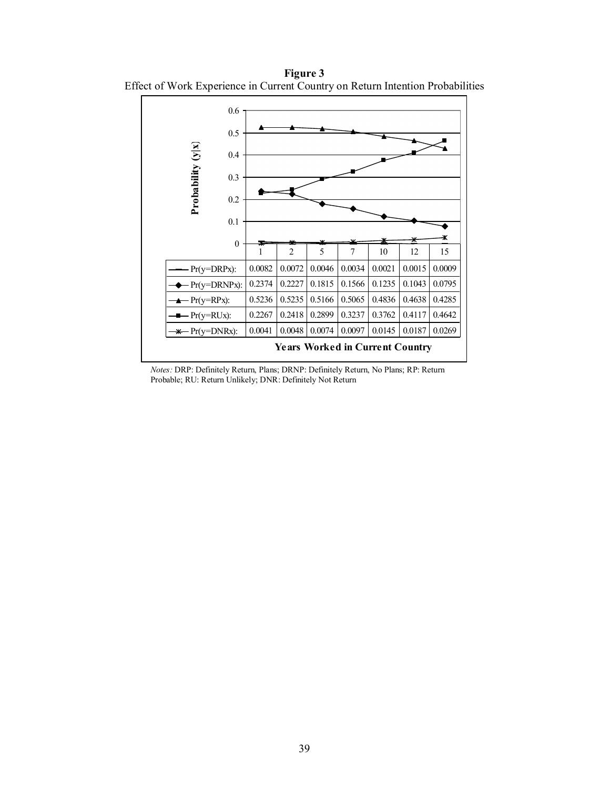**Figure 3**  Effect of Work Experience in Current Country on Return Intention Probabilities



*Notes:* DRP: Definitely Return, Plans; DRNP: Definitely Return, No Plans; RP: Return Probable; RU: Return Unlikely; DNR: Definitely Not Return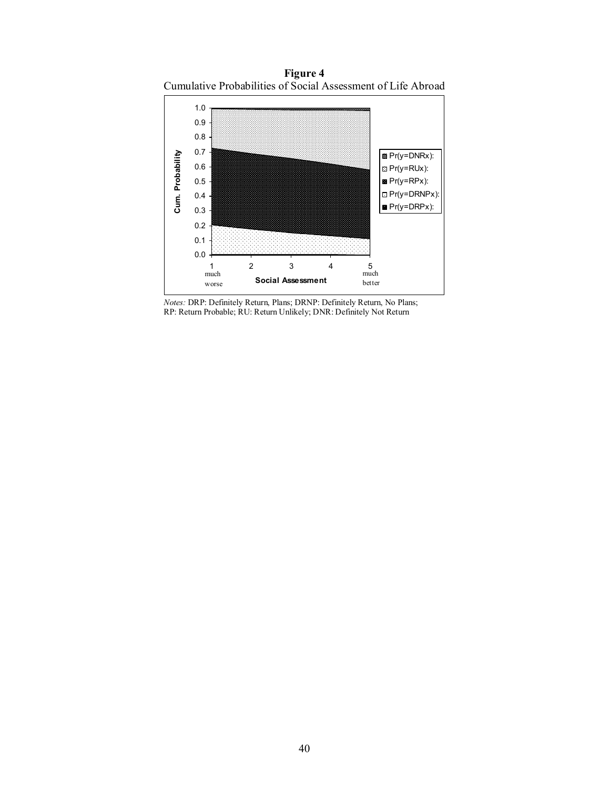**Figure 4**  Cumulative Probabilities of Social Assessment of Life Abroad



*Notes:* DRP: Definitely Return, Plans; DRNP: Definitely Return, No Plans; RP: Return Probable; RU: Return Unlikely; DNR: Definitely Not Return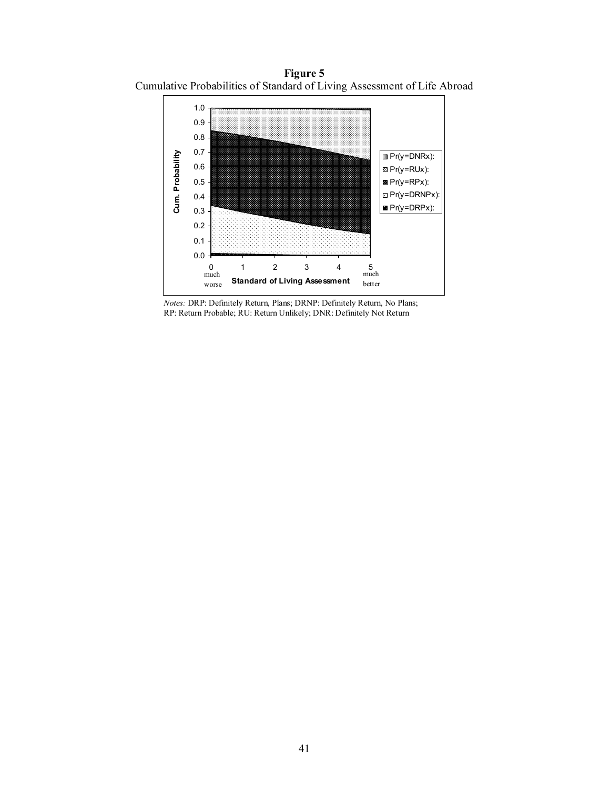**Figure 5**  Cumulative Probabilities of Standard of Living Assessment of Life Abroad